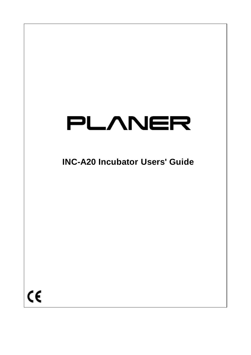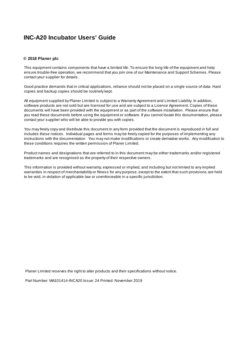#### **© 2018 Planer plc**

This equipment contains components that have a limited life. To ensure the long life of the equipment and help ensure trouble-free operation, we recommend that you join one of our Maintenance and Support Schemes. Please contact your supplier for details.

Good practice demands that in critical applications, reliance should not be placed on a single source of data. Hard copies and backup copies should be routinely kept.

All equipment supplied by Planer Limited is subject to a Warranty Agreement and Limited Liability. In addition, software products are not sold but are licensed for use and are subject to a Licence Agreement. Copies of these documents will have been provided with the equipment or as part of the software installation. Please ensure that you read these documents before using the equipment or software. If you cannot locate this documentation, please contact your supplier who will be able to provide you with copies.

You may freely copy and distribute this document in any form provided that the document is reproduced in full and includes these notices. Individual pages and forms may be freely copied for the purposes of implementing any instructions with the documentation You may not make modifications or create derivative works. Any modification to these conditions requires the written permission of Planer Limited.

Product names and designations that are referred to in this document may be either trademarks and/or registered trademarks and are recognised as the property of their respective owners.

This information is provided without warranty, expressed or implied, and including but not limited to any implied warranties in respect of merchantability or fitness for any purpose, except to the extent that such provisions are held to be void, in violation of applicable law or unenforceable in a specific jurisdiction.

Planer Limited reserves the right to alter products and their specifications without notice.

Part Number: MA101414-INCA20 Issue: 24 Printed: November 2019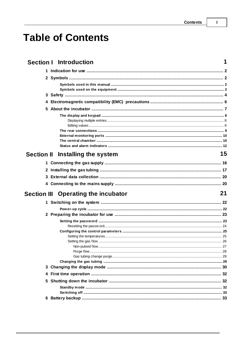## **Table of Contents**

|                   |   | <b>Section   Introduction</b>       | 1  |
|-------------------|---|-------------------------------------|----|
|                   |   |                                     |    |
|                   |   |                                     |    |
|                   |   |                                     |    |
|                   |   |                                     |    |
|                   |   |                                     |    |
|                   |   |                                     |    |
|                   |   |                                     |    |
|                   |   |                                     |    |
|                   |   |                                     |    |
|                   |   |                                     |    |
|                   |   |                                     |    |
|                   |   |                                     |    |
|                   |   |                                     |    |
| <b>Section II</b> |   | Installing the system               | 15 |
|                   |   |                                     |    |
|                   |   |                                     |    |
|                   |   |                                     |    |
|                   |   |                                     |    |
|                   |   |                                     |    |
|                   |   | Section III Operating the incubator | 21 |
|                   |   |                                     |    |
|                   |   |                                     |    |
|                   |   |                                     |    |
|                   |   |                                     |    |
|                   |   |                                     |    |
|                   |   |                                     |    |
|                   |   |                                     |    |
|                   |   |                                     |    |
|                   |   |                                     |    |
|                   |   |                                     |    |
|                   |   |                                     |    |
|                   | 4 |                                     |    |
|                   |   |                                     |    |
|                   |   |                                     |    |
|                   |   |                                     |    |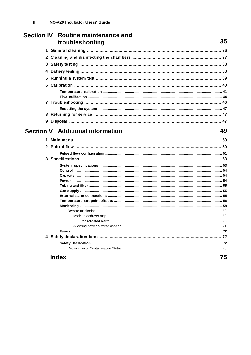| Section IV Routine maintenance and<br>troubleshooting | 35 |
|-------------------------------------------------------|----|
|                                                       |    |
|                                                       |    |
|                                                       |    |
|                                                       |    |
|                                                       |    |
|                                                       |    |
|                                                       |    |
|                                                       |    |
|                                                       |    |
|                                                       |    |
|                                                       |    |
|                                                       |    |
|                                                       |    |
| <b>Section V</b> Additional information               | 49 |
|                                                       |    |
|                                                       |    |
|                                                       |    |
|                                                       |    |
|                                                       |    |
|                                                       |    |
|                                                       |    |
| Power                                                 |    |
|                                                       |    |
|                                                       |    |
|                                                       |    |
|                                                       |    |
|                                                       |    |
|                                                       |    |
|                                                       |    |
|                                                       |    |
|                                                       |    |
| <b>Fuses</b>                                          |    |
|                                                       |    |
|                                                       |    |
|                                                       |    |
| <b>Index</b>                                          | 75 |

 $\mathbf{II}$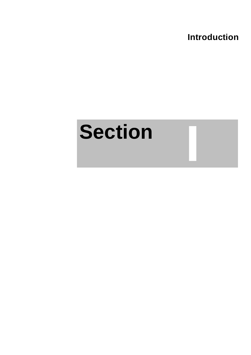**Introduction**

**I**

## <span id="page-4-0"></span>**Section**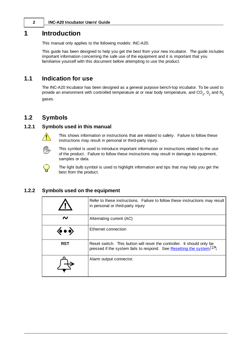## **1 Introduction**

This manual only applies to the following models: INC-A20.

This guide has been designed to help you get the best from your new incubator. The guide includes important information concerning the safe use of the equipment and it is important that you familiarise yourself with this document before attempting to use the product.

## <span id="page-5-0"></span>**1.1 Indication for use**

The INC-A20 Incubator has been designed as a general purpose bench-top incubator. To be used to provide an environment with controlled temperature at or near body temperature, and CO<sub>2</sub>, O<sub>2</sub> and N<sub>2</sub> gases.

## <span id="page-5-1"></span>**1.2 Symbols**

#### **1.2.1 Symbols used in this manual**



This shows information or instructions that are related to safety. Failure to follow these instructions may result in personal or third-party injury.



This symbol is used to introduce important information or instructions related to the use of the product. Failure to follow these instructions may result in damage to equipment, samples or data.



The light bulb symbol is used to highlight information and tips that may help you get the best from the product.

#### <span id="page-5-2"></span>**1.2.2 Symbols used on the equipment**

|                                           | Refer to these instructions. Failure to follow these instructions may result<br>in personal or third-party injury                              |
|-------------------------------------------|------------------------------------------------------------------------------------------------------------------------------------------------|
| ៷                                         | Alternating current (AC)                                                                                                                       |
| $\langle \bullet \bullet \bullet \rangle$ | Ethernet connection                                                                                                                            |
| <b>RST</b>                                | Reset switch. This button will reset the controller. It should only be<br>pressed if the system fails to respond. See Resetting the system 47. |
|                                           | Alarm output connector.                                                                                                                        |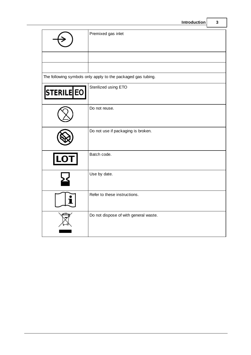| ntroduction |  |
|-------------|--|
|             |  |

|            | Introduction                                                 | 3 |
|------------|--------------------------------------------------------------|---|
|            | Premixed gas inlet                                           |   |
|            |                                                              |   |
|            | The following symbols only apply to the packaged gas tubing. |   |
| STERILE EO | Sterilized using ETO                                         |   |
|            | Do not reuse.                                                |   |
|            | Do not use if packaging is broken.                           |   |
|            | Batch code.                                                  |   |
|            | Use by date.                                                 |   |
|            | Refer to these instructions.                                 |   |
|            | Do not dispose of with general waste.                        |   |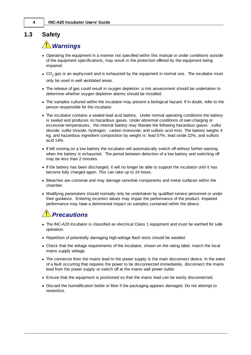## <span id="page-7-0"></span>**1.3 Safety**

## *Warnings*

- · Operating the equipment in a manner not specified within this manual or under conditions outside of the equipment specifications, may result in the protection offered by the equipment being impaired.
- CO<sub>2</sub> gas is an asphyxiant and is exhausted by the equipment in normal use. The incubator must only be used in well ventilated areas.
- · The release of gas could result in oxygen depletion: a risk assessment should be undertaken to determine whether oxygen depletion alarms should be installed.
- · The samples cultured within the incubator may present a biological hazard. If in doubt, refer to the person responsible for the incubator.
- · The incubator contains a sealed lead acid battery. Under normal operating conditions the battery is sealed and produces no hazardous gases. Under abnormal conditions of over-charging or excessive temperatures, the internal battery may liberate the following hazardous gases: sulfur dioxide; sulfur trioxide; hydrogen; carbon monoxide; and sulfuric acid mist. The battery weighs 4 kg, and hazardous ingredient composition by weight is: lead 57%; lead oxide 22%; and sulfuric acid 14%.
- · If left running on a low battery the incubator will automatically switch off without further warning when the battery is exhausted. The period between detection of a low battery and switching off may be less than 2 minutes.
- · If the battery has been discharged, it will no longer be able to support the incubator until it has become fully charged again. This can take up to 24 hours.
- · Bleaches are corrosive and may damage sensitive components and metal surfaces within the chamber.
- · Modifying parameters should normally only be undertaken by qualified service personnel or under their guidance. Entering incorrect values may impair the performance of the product. Impaired performance may have a detrimental impact on samples contained within the device.

## *Precautions*

- · The INC-A20 Incubator is classified as electrical Class 1 equipment and must be earthed for safe operation.
- · Repetition of potentially damaging high-voltage flash tests should be avoided.
- · Check that the voltage requirements of the incubator, shown on the rating label, match the local mains supply voltage.
- · The connector from the mains lead to the power supply is the main disconnect device. In the event of a fault occurring that requires the power to be disconnected immediately, disconnect the mains lead from the power supply or switch off at the mains wall power outlet.
- · Ensure that the equipment is positioned so that the mains lead can be easily disconnected.
- · Discard the humidification bottle or filter if the packaging appears damaged. Do not attempt to resterilize.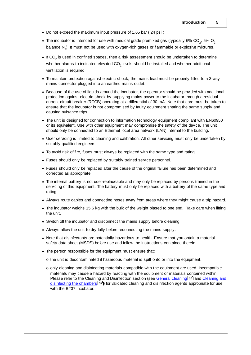- · Do not exceed the maximum input pressure of 1.65 bar ( 24 psi )
- The incubator is intended for use with medical grade premixed gas (typically 6%  $CO_2$ , 5%  $O_2$ , balance  $\mathsf{N}_2$ ). It must not be used with oxygen-rich gases or flammable or explosive mixtures.
- If CO<sub>2</sub> is used in confined spaces, then a risk assessment should be undertaken to determine whether alarms to indicated elevated CO<sub>2</sub> levels should be installed and whether additional ventilation is required.
- · To maintain protection against electric shock, the mains lead must be properly fitted to a 3-way mains connector plugged into an earthed mains outlet.
- · Because of the use of liquids around the incubator, the operator should be provided with additional protection against electric shock by supplying mains power to the incubator through a residual current circuit breaker (RCCB) operating at a differential of 30 mA. Note that care must be taken to ensure that the incubator is not compromised by faulty equipment sharing the same supply and causing nuisance trips.
- · The unit is designed for connection to information technology equipment compliant with EN60950 or its equivalent. Use with other equipment may compromise the safety of the device. The unit should only be connected to an Ethernet local area network (LAN) internal to the building.
- · User servicing is limited to cleaning and calibration. All other servicing must only be undertaken by suitably qualified engineers.
- · To avoid risk of fire, fuses must always be replaced with the same type and rating.
- · Fuses should only be replaced by suitably trained service personnel.
- · Fuses should only be replaced after the cause of the original failure has been determined and corrected as appropriate
- · The internal battery is not user-replaceable and may only be replaced by persons trained in the servicing of this equipment. The battery must only be replaced with a battery of the same type and rating.
- · Always route cables and connecting hoses away from areas where they might cause a trip hazard.
- · The incubator weighs 15.5 kg with the bulk of the weight biased to one end. Take care when lifting the unit.
- · Switch off the incubator and disconnect the mains supply before cleaning.
- · Always allow the unit to dry fully before reconnecting the mains supply.
- · Note that disinfectants are potentially hazardous to health. Ensure that you obtain a material safety data sheet (MSDS) before use and follow the instructions contained therein.
- · The person responsible for the equipment must ensure that:
	- o the unit is decontaminated if hazardous material is spilt onto or into the equipment.
	- $\circ$  only cleaning and disinfecting materials compatible with the equipment are used. Incompatible materials may cause a hazard by reacting with the equipment or materials contained within. Please refer to the Cleaning and Disinfection section (see General [cleaning](#page-39-0) 36) and [Cleaning](#page-40-0) and [disinfecting](#page-40-0) the chambers<sup>[37]</sup>) for validated cleaning and disinfection agents appropriate for use with the BT37 incubator.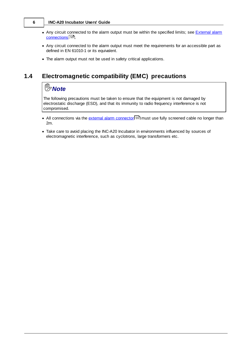- Any circuit connected to the alarm output must be within the specified limits; see **[External](#page-58-2) alarm** [connections](#page-58-2) 55).
- · Any circuit connected to the alarm output must meet the requirements for an accessible part as defined in EN 61010-1 or its equivalent.
- · The alarm output must not be used in safety critical applications.

## <span id="page-9-0"></span>**1.4 Electromagnetic compatibility (EMC) precautions**

## *<sup>n</sup><sub>>Note</sub>*

The following precautions must be taken to ensure that the equipment is not damaged by electrostatic discharge (ESD), and that its immunity to radio frequency interference is not compromised.

- All connections via the external alarm [connector](#page-58-2)<sup>[55</sup>] must use fully screened cable no longer than 2m.
- · Take care to avoid placing the INC-A20 Incubator in environments influenced by sources of electromagnetic interference, such as cyclotrons, large transformers etc.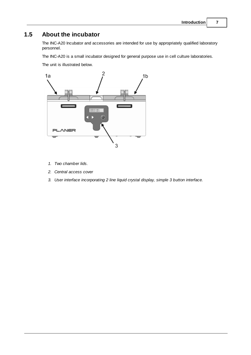## <span id="page-10-0"></span>**1.5 About the incubator**

The INC-A20 Incubator and accessories are intended for use by appropriately qualified laboratory personnel.

The INC-A20 is a small incubator designed for general purpose use in cell culture laboratories.

The unit is illustrated below.



- *1. Two chamber lids.*
- *2. Central access cover*
- *3. User interface incorporating 2 line liquid crystal display, simple 3 button interface.*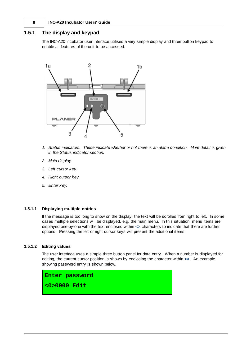#### <span id="page-11-0"></span>**1.5.1 The display and keypad**

The INC-A20 Incubator user interface utilises a very simple display and three button keypad to enable all features of the unit to be accessed.



- *1. Status indicators. These indicate whether or not there is an alarm condition. More detail is given in the Status indicator section.*
- *2. Main display.*
- *3. Left cursor key.*
- *4. Right cursor key.*
- *5. Enter key.*

#### <span id="page-11-1"></span>**1.5.1.1 Displaying multiple entries**

If the message is too long to show on the display, the text will be scrolled from right to left. In some cases multiple selections will be displayed, e.g. the main menu. In this situation, menu items are displayed one-by-one with the text enclosed within **<>** characters to indicate that there are further options. Pressing the left or right cursor keys will present the additional items.

#### <span id="page-11-2"></span>**1.5.1.2 Editing values**

The user interface uses a simple three button panel for data entry. When a number is displayed for editing, the current cursor position is shown by enclosing the character within **<>**. An example showing password entry is shown below.

**Enter password**

**<0>0000 Edit**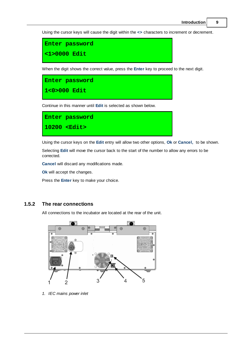Using the cursor keys will cause the digit within the **<>** characters to increment or decrement.

```
Enter password
<1>0000 Edit
```
When the digit shows the correct value, press the **Enter** key to proceed to the next digit.

**Enter password 1<0>000 Edit**

Continue in this manner until **Edit** is selected as shown below.

**Enter password 10200 <Edit>**

Using the cursor keys on the **Edit** entry will allow two other options, **Ok** or **Cancel,** to be shown.

Selecting **Edit** will move the cursor back to the start of the number to allow any errors to be corrected.

**Cancel** will discard any modifications made.

**Ok** will accept the changes.

Press the **Enter** key to make your choice.

#### <span id="page-12-0"></span>**1.5.2 The rear connections**

All connections to the incubator are located at the rear of the unit.



*1. IEC mains power inlet*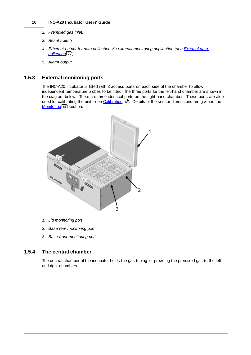- *2. Premixed gas inlet.*
- *3. Reset switch*
- *4. Ethernet output for data collection via external monitoring application (see [External](#page-23-0) data[collection](#page-23-0) )* 20
- *5. Alarm output*

#### <span id="page-13-0"></span>**1.5.3 External monitoring ports**

The INC-A20 Incubator is fitted with 3 access ports on each side of the chamber to allow independent temperature probes to be fitted. The three ports for the left-hand chamber are shown in the diagram below. There are three identical ports on the right-hand chamber. These ports are also used for calibrating the unit - see [Calibration](#page-43-0) 40. Details of the sensor dimensions are given in the <u>[Monitoring](#page-61-0)</u>l 58ो section.



- *1. Lid monitoring port*
- *2. Base rear monitoring port*
- *3. Base front monitoring port*

#### <span id="page-13-1"></span>**1.5.4 The central chamber**

The central chamber of the incubator holds the gas tubing for providing the premixed gas to the left and right chambers.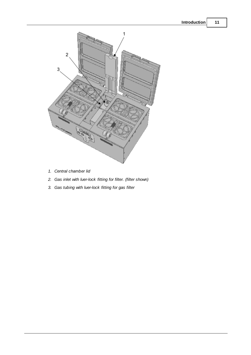

- *1. Central chamber lid*
- *2. Gas inlet with luer-lock fitting for filter. (filter shown)*
- *3. Gas tubing with luer-lock fitting for gas filter*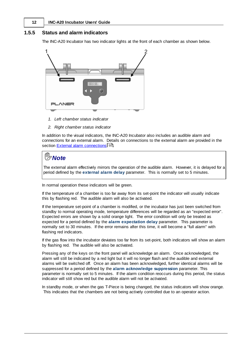#### <span id="page-15-0"></span>**1.5.5 Status and alarm indicators**

The INC-A20 Incubator has two indicator lights at the front of each chamber as shown below.



- *1. Left chamber status indicator*
- *2. Right chamber status indicator*

In addition to the visual indicators, the INC-A20 Incubator also includes an audible alarm and connections for an external alarm. Details on connections to the external alarm are provided in the section <u>External alarm [connections](#page-58-2)</u>l গ্ৰী.

## *Note*

The external alarm effectively mirrors the operation of the audible alarm. However, it is delayed for a period defined by the **external alarm delay** parameter. This is normally set to 5 minutes.

In normal operation these indicators will be green.

If the temperature of a chamber is too far away from its set-point the indicator will usually indicate this by flashing red. The audible alarm will also be activated.

If the temperature set-point of a chamber is modified, or the incubator has just been switched from standby to normal operating mode, temperature differences will be regarded as an "expected error". Expected errors are shown by a solid orange light. The error condition will only be treated as expected for a period defined by the **alarm expectation delay** parameter. This parameter is normally set to 30 minutes. If the error remains after this time, it will become a "full alarm" with flashing red indicators.

If the gas flow into the incubator deviates too far from its set-point, both indicators will show an alarm by flashing red. The audible will also be activated.

Pressing any of the keys on the front panel will acknowledge an alarm. Once acknowledged, the alarm will still be indicated by a red light but it will no longer flash and the audible and external alarms will be switched off. Once an alarm has been acknowledged, further identical alarms will be suppressed for a period defined by the **alarm acknowledge suppression** parameter. This parameter is normally set to 5 minutes. If the alarm condition reoccurs during this period, the status indicator will still show red but the audible alarm will not be activated.

In standby mode, or when the gas T-Piece is being changed, the status indicators will show orange. This indicates that the chambers are not being actively controlled due to an operator action.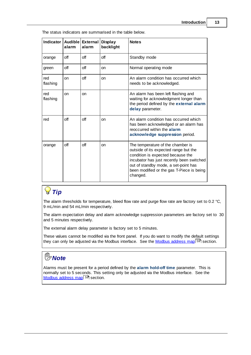The status indicators are summarised in the table below.

| Indicator   Audible   External | alarm      | alarm | <b>Display</b><br>backlight | <b>Notes</b>                                                                                                                                                                                                                                                  |
|--------------------------------|------------|-------|-----------------------------|---------------------------------------------------------------------------------------------------------------------------------------------------------------------------------------------------------------------------------------------------------------|
| orange                         | off        | off   | off                         | Standby mode                                                                                                                                                                                                                                                  |
| green                          | off        | off   | on                          | Normal operating mode                                                                                                                                                                                                                                         |
| red<br>flashing                | on         | off   | on                          | An alarm condition has occurred which<br>needs to be acknowledged.                                                                                                                                                                                            |
| red<br>flashing                | on         | on    |                             | An alarm has been left flashing and<br>waiting for acknowledgment longer than<br>the period defined by the external alarm<br>delay parameter.                                                                                                                 |
| red                            | оff        | off   | on                          | An alarm condition has occurred which<br>has been acknowledged or an alarm has<br>reoccurred within the alarm<br>acknowledge suppression period.                                                                                                              |
| orange                         | $\circ$ ff | off   | on                          | The temperature of the chamber is<br>outside of its expected range but the<br>condition is expected because the<br>incubator has just recently been switched<br>out of standby mode, a set-point has<br>been modified or the gas T-Piece is being<br>changed. |

## *Tip*

The alarm thresholds for temperature, bleed flow rate and purge flow rate are factory set to 0.2 °C, 9 mL/min and 54 mL/min respectively.

The alarm expectation delay and alarm acknowledge suppression parameters are factory set to 30 and 5 minutes respectively.

The external alarm delay parameter is factory set to 5 minutes.

These values cannot be modified via the front panel. If you do want to modify the default settings they can only be adjusted via the [Modbus](#page-62-0) interface. See the <u>Modbus address map</u>|5ণ্ডী section.

## *Note*

Alarms must be present for a period defined by the **alarm hold-off time** parameter. This is normally set to 5 seconds. This setting only be adjusted via the Modbus interface. See the Modbus [address](#page-62-0) map <sup>59</sup> section.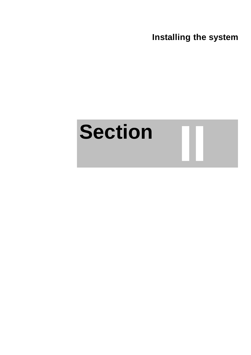**Installing the system**

**II**

# <span id="page-18-0"></span>**Section**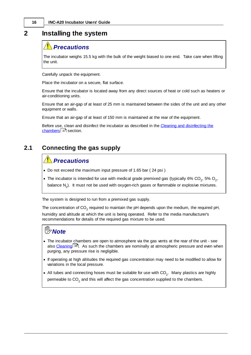## **2 Installing the system**

## *Precautions*

The incubator weighs 15.5 kg with the bulk of the weight biased to one end. Take care when lifting the unit.

Carefully unpack the equipment.

Place the incubator on a secure, flat surface.

Ensure that the incubator is located away from any direct sources of heat or cold such as heaters or air-conditioning units.

Ensure that an air-gap of at least of 25 mm is maintained between the sides of the unit and any other equipment or walls.

Ensure that an air-gap of at least of 150 mm is maintained at the rear of the equipment.

Before use, clean and disinfect the incubator as described in the Cleaning and [disinfecting](#page-40-0) the [chambers](#page-40-0)l 37 section.

## <span id="page-19-0"></span>**2.1 Connecting the gas supply**

## *Precautions*

- · Do not exceed the maximum input pressure of 1.65 bar ( 24 psi )
- The incubator is intended for use with medical grade premixed gas (typically 6%  $CO_2$ , 5%  $O_2$ , balance N<sub>2</sub>). It must not be used with oxygen-rich gases or flammable or explosive mixtures.

The system is designed to run from a premixed gas supply.

The concentration of CO<sub>2</sub> required to maintain the pH depends upon the medium, the required pH, humidity and altitude at which the unit is being operated. Refer to the media manufacturer's recommendations for details of the required gas mixture to be used.

## *Note*

- · The incubator chambers are open to atmosphere via the gas vents at the rear of the unit see also <u>[Cleaning](#page-39-0)</u>l <sup>36</sup>l. As such the chambers are nominally at atmospheric pressure and even when purging, any pressure rise is negligible.
- · If operating at high altitudes the required gas concentration may need to be modified to allow for variations in the local pressure.
- All tubes and connecting hoses must be suitable for use with  $\mathrm{CO}_2$ . Many plastics are highly permeable to CO<sub>2</sub> and this will affect the gas concentration supplied to the chambers.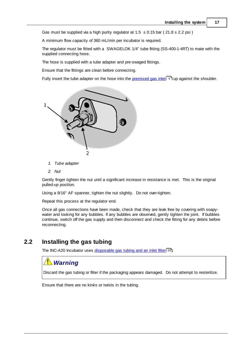Gas must be supplied via a high purity regulator at  $1.5 \pm 0.15$  bar ( $21.8 \pm 2.2$  psi)

A minimum flow capacity of 360 mL/min per incubator is required.

The regulator must be fitted with a SWAGELOK 1/4" tube fitting (SS-400-1-4RT) to mate with the supplied connecting hose.

The hose is supplied with a tube adapter and pre-swaged fittings.

Ensure that the fittings are clean before connecting.

Fully insert the tube adapter on the hose into the [premixed](#page-12-0) gas inlet<sup>| 9</sup> Iup against the shoulder.



- *1. Tube adapter*
- *2. Nut*

Gently finger tighten the nut until a significant increase in resistance is met. This is the original pulled-up position.

Using a 9/16" AF spanner, tighten the nut slightly. Do not over-tighten.

Repeat this process at the regulator end.

Once all gas connections have been made, check that they are leak free by covering with soapywater and looking for any bubbles. If any bubbles are observed, gently tighten the joint. If bubbles continue, switch off the gas supply and then disconnect and check the fitting for any debris before reconnecting.

### <span id="page-20-0"></span>**2.2 Installing the gas tubing**

The INC-A20 Incubator uses <u>[disposable](#page-58-0) gas tubing and an inlet filter</u>|55 !.

## *Warning*

Discard the gas tubing or filter if the packaging appears damaged. Do not attempt to resterilize.

Ensure that there are no kinks or twists in the tubing.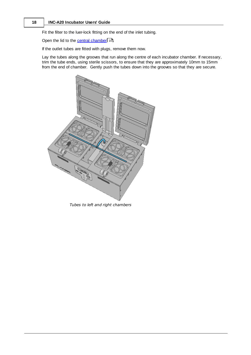Fit the filter to the luer-lock fitting on the end of the inlet tubing.

Open the lid to the central [chamber](#page-13-1) 10 .

If the outlet tubes are fitted with plugs, remove them now.

Lay the tubes along the grooves that run along the centre of each incubator chamber. If necessary, trim the tube ends, using sterile scissors, to ensure that they are approximately 10mm to 15mm from the end of chamber. Gently push the tubes down into the grooves so that they are secure.



*Tubes to left and right chambers*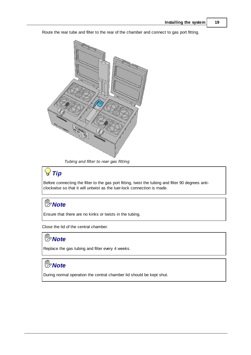Route the rear tube and filter to the rear of the chamber and connect to gas port fitting.



*Tubing and filter to rear gas fitting*

## *Tip*

Before connecting the filter to the gas port fitting, twist the tubing and filter 90 degrees anticlockwise so that it will untwist as the luer-lock connection is made.

## *Note*

Ensure that there are no kinks or twists in the tubing.

Close the lid of the central chamber.

## *Note*

Replace the gas tubing and filter every 4 weeks.

## *Note*

During normal operation the central chamber lid should be kept shut.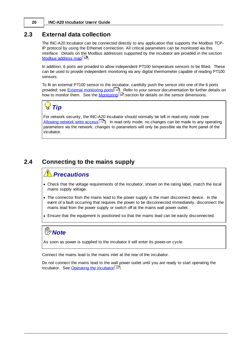### <span id="page-23-0"></span>**2.3 External data collection**

The INC-A20 Incubator can be connected directly to any application that supports the Modbus TCP-IP protocol by using the Ethernet connection. All critical parameters can be monitored via this interface. Details on the Modbus addresses supported by the incubator are provided in the section <u>Modbus [address](#page-62-0) map</u>l ୭ୋ.

In addition, 6 ports are provided to allow independent PT100 temperature sensors to be fitted. These can be used to provide independent monitoring via any digital thermometer capable of reading PT100 sensors.

To fit an external PT100 sensor to the incubator, carefully push the sensor into one of the 6 ports provided; see <u>External [monitoring](#page-13-0) ports</u> া ী. Refer to your sensor documentation for further details on how to monitor them. See the <u>[Monitoring](#page-61-0)</u>l sको section for details on the sensor dimensions.

## *Tip*

For network security, the INC-A20 Incubator should normally be left in read-only mode (see [Allowing](#page-74-0) network write access<sup>|</sup>71). In read only mode, no changes can be made to any operating parameters via the network; changes to parameters will only be possible via the front panel of the incubator.

## <span id="page-23-1"></span>**2.4 Connecting to the mains supply**

## *Precautions*

- · Check that the voltage requirements of the incubator, shown on the rating label, match the local mains supply voltage.
- · The connector from the mains lead to the power supply is the main disconnect device. In the event of a fault occurring that requires the power to be disconnected immediately, disconnect the mains lead from the power supply or switch off at the mains wall power outlet.
- · Ensure that the equipment is positioned so that the mains lead can be easily disconnected.

## *Note*

As soon as power is supplied to the incubator it will enter its power-on cycle.

Connect the mains lead to the mains inlet at the rear of the incubator.

Do not connect the mains lead to the wall power outlet until you are ready to start operating the incubator. See **[Operating](#page-25-2) the incubator** 22.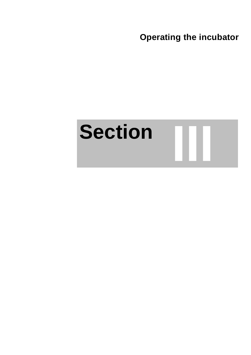**Operating the incubator**

# <span id="page-24-0"></span>**Section III**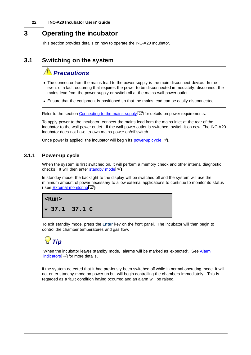## <span id="page-25-2"></span>**3 Operating the incubator**

This section provides details on how to operate the INC-A20 Incubator.

## <span id="page-25-0"></span>**3.1 Switching on the system**

## *Precautions*

- · The connector from the mains lead to the power supply is the main disconnect device. In the event of a fault occurring that requires the power to be disconnected immediately, disconnect the mains lead from the power supply or switch off at the mains wall power outlet.
- · Ensure that the equipment is positioned so that the mains lead can be easily disconnected.

Refer to the section [Connecting](#page-23-1) to the mains supply! 2णै for details on power requirements.

To apply power to the incubator, connect the mains lead from the mains inlet at the rear of the incubator to the wall power outlet. If the wall power outlet is switched, switch it on now. The INC-A20 Incubator does not have its own mains power on/off switch.

Once power is applied, the incubator will begin its **[power-up](#page-25-1) cycle** 221.

### <span id="page-25-1"></span>**3.1.1 Power-up cycle**

When the system is first switched on, it will perform a memory check and other internal diagnostic checks. It will then enter **[standby](#page-35-1) mode**l 32.

In standby mode, the backlight to the display will be switched off and the system will use the minimum amount of power necessary to allow external applications to continue to monitor its status ( see <u>External [monitoring](#page-23-0)</u>l <sup>20</sup>).

#### **<Run>**

**37.1 37.1 C**

To exit standby mode, press the **Enter** key on the front panel. The incubator will then begin to control the chamber temperatures and gas flow.

## *Tip*

When the incubator leaves standby mode, alarms will be marked as 'expected'. See [Alarm](#page-15-0) [indicators](#page-15-0) 32 for more details.

If the system detected that it had previously been switched off while in normal operating mode, it will not enter standby mode on power up but will begin controlling the chambers immediately. This is regarded as a fault condition having occurred and an alarm will be raised.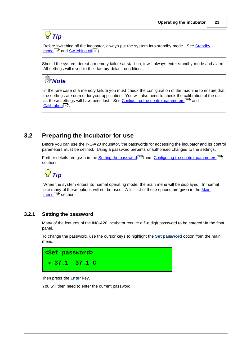## *Tip*

Before switching off the incubator, always put the system into standby mode. See [Standby](#page-35-1) <u>[mode](#page-35-1)</u>l ౩2ী and <u>[Switching](#page-36-0) of</u>fl ౩౩ী.

Should the system detect a memory failure at start-up, it will always enter standby mode and alarm. All settings will revert to their factory default conditions.

## *Note*

In the rare case of a memory failure you must check the configuration of the machine to ensure that the settings are correct for your application. You will also need to check the calibration of the unit as these settings will have been lost. See Configuring the control [parameters](#page-28-0)<sup>[25]</sup> and <u>[Calibration](#page-43-0)</u> 40ो.

## <span id="page-26-0"></span>**3.2 Preparing the incubator for use**

Before you can use the INC-A20 Incubator, the passwords for accessing the incubator and its control parameters must be defined. Using a password prevents unauthorised changes to the settings.

Further details are given in the <u>Setting the [password](#page-26-1)</u>l 23 and Configuring the control [parameters](#page-28-0)l 25 sections.

## *Tip*

When the system enters its normal operating mode, the main menu will be displayed. In normal use many of these options will not be used. A full list of these options are given in the [Main](#page-53-0) <u>[menu](#page-53-0)</u>l 5ഠീ section.

#### <span id="page-26-1"></span>**3.2.1 Setting the password**

Many of the features of the INC-A20 Incubator require a five digit password to be entered via the front panel.

To change the password, use the cursor keys to highlight the **Set password** option from the main menu.

| <set password=""></set> |  |  |
|-------------------------|--|--|
| $\sqrt{37.1}$ 37.1 C    |  |  |

Then press the **Enter** key.

You will then need to enter the current password.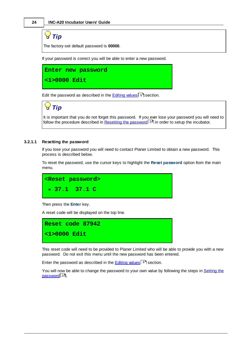## *Tip*

The factory-set default password is **00000**.

If your password is correct you will be able to enter a new password.

**Enter new password <1>0000 Edit**

Edit the password as described in the **[Editing](#page-11-2) values** 8 Section.

## *Tip*

It is important that you do not forget this password. If you ever lose your password you will need to follow the procedure described in <u>Resetting the [password](#page-27-0)</u>l <sup>24</sup>l in order to setup the incubator.

#### <span id="page-27-0"></span>**3.2.1.1 Resetting the password**

If you lose your password you will need to contact Planer Limited to obtain a new password. This process is described below.

To reset the password, use the cursor keys to highlight the **Reset password** option from the main menu.



Then press the **Enter** key.

A reset code will be displayed on the top line.

**Reset code 87942 <1>0000 Edit**

This reset code will need to be provided to Planer Limited who will be able to provide you with a new password. Do not exit this menu until the new password has been entered.

Enter the password as described in the **[Editing](#page-11-2) values** 8 3 section.

You will now be able to change the password to your own value by following the steps in [Setting](#page-26-1) the <u>[password](#page-26-1)</u>l <sup>23</sup>ী.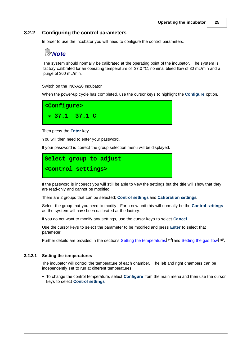#### <span id="page-28-0"></span>**3.2.2 Configuring the control parameters**

In order to use the incubator you will need to configure the control parameters.

## *Note*

The system should normally be calibrated at the operating point of the incubator. The system is factory calibrated for an operating temperature of 37.0 °C, nominal bleed flow of 30 mL/min and a purge of 360 mL/min.

Switch on the INC-A20 Incubator

When the power-up cycle has completed, use the cursor keys to highlight the **Configure** option.

**<Configure> 37.1 37.1 C**

Then press the **Enter** key.

You will then need to enter your password.

If your password is correct the group selection menu will be displayed.

## **Select group to adjust <Control settings>**

If the password is incorrect you will still be able to view the settings but the title will show that they are read-only and cannot be modified.

There are 2 groups that can be selected; **Control settings** and **Calibration settings**.

Select the group that you need to modify. For a new unit this will normally be the **Control settings** as the system will have been calibrated at the factory.

If you do not want to modify any settings, use the cursor keys to select **Cancel**.

Use the cursor keys to select the parameter to be modified and press **Enter** to select that parameter.

Further details are provided in the sections <u>Setting the [temperatures](#page-28-1)</u>I <sup>25</sup> and <u>[Setting](#page-29-0) the gas flow</u>I 26 !

#### <span id="page-28-1"></span>**3.2.2.1 Setting the temperatures**

The incubator will control the temperature of each chamber. The left and right chambers can be independently set to run at different temperatures.

· To change the control temperature, select **Configure** from the main menu and then use the cursor keys to select **Control settings**.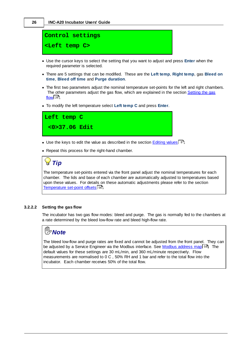

- · Use the cursor keys to select the setting that you want to adjust and press **Enter** when the required parameter is selected.
- · There are 5 settings that can be modified. These are the **Left temp**, **Right temp**, gas **Bleed on time**, **Bleed off time** and **Purge duration**.
- · The first two parameters adjust the nominal temperature set-points for the left and right chambers. The other parameters adjust the gas flow, which are explained in the section [Setting](#page-29-0) the gas <u>[flow](#page-29-0)</u>l 26 .
- · To modify the left temperature select **Left temp C** and press **Enter**.



- Use the keys to edit the value as described in the section **[Editing](#page-11-2) values** 8ी.
- · Repeat this process for the right-hand chamber.

## *Tip*

The temperature set-points entered via the front panel adjust the nominal temperatures for each chamber. The lids and base of each chamber are automatically adjusted to temperatures based upon these values. For details on these automatic adjustments please refer to the section <u>[Temperature](#page-59-0) set-point offsets</u>l 56ী.

#### <span id="page-29-0"></span>**3.2.2.2 Setting the gas flow**

The incubator has two gas flow modes: bleed and purge. The gas is normally fed to the chambers at a rate determined by the bleed low-flow rate and bleed high-flow rate.

## *Note*

The bleed low-flow and purge rates are fixed and cannot be adjusted from the front panel. They can be adjusted by a Service Engineer via the Modbus interface. See <u>Modbus [address](#page-62-0) map</u>l 5औ. The default values for these settings are 30 mL/min, and 360 mL/minute respectively. Flow measurements are normalised to 0 C , 50% RH and 1 bar and refer to the total flow into the incubator. Each chamber receives 50% of the total flow.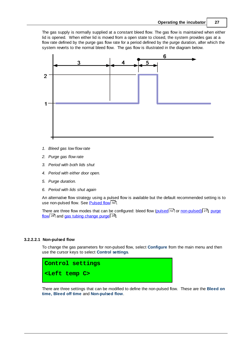The gas supply is normally supplied at a constant bleed flow. The gas flow is maintained when either lid is opened. When either lid is moved from a open state to closed, the system provides gas at a flow rate defined by the purge gas flow rate for a period defined by the purge duration, after which the system reverts to the normal bleed flow. The gas flow is illustrated in the diagram below.



- *1. Bleed gas low flow rate*
- *2. Purge gas flow rate*
- *3. Period with both lids shut*
- *4. Period with either door open.*
- *5. Purge duration.*
- *6. Period with lids shut again*

An alternative flow strategy using a pulsed flow is available but the default recommended setting is to use non-pulsed flow. See <u>[Pulsed](#page-53-1) flow</u>l ร0 ิ.

There are three flow modes that can be configured: bleed flow (<u>[pulsed](#page-54-0)</u> 51 or <u>[non-pulsed\)](#page-30-0)</u> 27, [purge](#page-31-0) <u>[flow](#page-31-0)</u>l <sup>28</sup> and <u>gas tubing [change](#page-32-0) purge</u>l 29 .

#### <span id="page-30-0"></span>**3.2.2.2.1 Non-pulsed flow**

To change the gas parameters for non-pulsed flow, select **Configure** from the main menu and then use the cursor keys to select **Control settings**.



There are three settings that can be modified to define the non-pulsed flow. These are the **Bleed on time, Bleed off time** and **Non-pulsed flow**.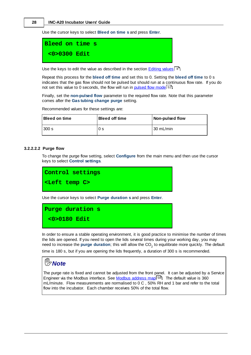Use the cursor keys to select **Bleed on time s** and press **Enter**.

**Bleed on time s <0>0300 Edit**

Use the keys to edit the value as described in the section **[Editing](#page-11-2) values** 8<sup>9</sup>.

Repeat this process for the **bleed off time** and set this to 0. Setting the **bleed off time** to 0 s indicates that the gas flow should not be pulsed but should run at a continuous flow rate. If you do not set this value to 0 seconds, the flow will run in <u>[pulsed](#page-54-0) flow mode</u> 51.

Finally, set the **non-pulsed flow** parameter to the required flow rate. Note that this parameter comes after the **Gas tubing change purge** setting.

Recommended values for these settings are:

| <b>Bleed on time</b> | <b>Bleed off time</b> | Non-pulsed flow |
|----------------------|-----------------------|-----------------|
| 300 s                | 0 <sub>s</sub>        | l 30 mL/min∶    |

#### <span id="page-31-0"></span>**3.2.2.2.2 Purge flow**

To change the purge flow setting, select **Configure** from the main menu and then use the cursor keys to select **Control settings**.



Use the cursor keys to select **Purge duration s** and press **Enter**.



In order to ensure a stable operating environment, it is good practice to minimise the number of times the lids are opened. If you need to open the lids several times during your working day, you may need to increase the **purge duration**; this will allow the CO<sub>2</sub> to equilibrate more quickly. The default

time is 180 s, but if you are opening the lids frequently, a duration of 300 s is recommended.



The purge rate is fixed and cannot be adjusted from the front panel. It can be adjusted by a Service Engineer via the [Modbus](#page-62-0) interface. See Modbus address mapl<sup>sen</sup>. The default value is 360 mL/minute. Flow measurements are normalised to 0 C , 50% RH and 1 bar and refer to the total flow into the incubator. Each chamber receives 50% of the total flow.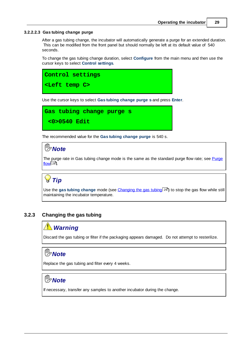#### <span id="page-32-0"></span>**3.2.2.2.3 Gas tubing change purge**

After a gas tubing change, the incubator will automatically generate a purge for an extended duration. This can be modified from the front panel but should normally be left at its default value of 540 seconds.

To change the gas tubing change duration, select **Configure** from the main menu and then use the cursor keys to select **Control settings**.



Use the cursor keys to select **Gas tubing change purge s** and press **Enter**.

```
Gas tubing change purge s
 <0>0540 Edit
```
The recommended value for the **Gas tubing change purge** is 540 s.

## **<sup>n</sup><sub>>Note</sub>**

The purge rate in Gas tubing change mode is the same as the standard purge flow rate; see [Purge](#page-31-0) <u>[flow](#page-31-0)</u>l 28 .

## *Tip*

Use the **gas tubing change** mode (see <u>[Changing](#page-32-1) the gas tubing</u>l 29 ) to stop the gas flow while still maintaining the incubator temperature.

#### <span id="page-32-1"></span>**3.2.3 Changing the gas tubing**

## *Warning*

Discard the gas tubing or filter if the packaging appears damaged. Do not attempt to resterilize.

## *Note*

Replace the gas tubing and filter every 4 weeks.

## *Note*

If necessary, transfer any samples to another incubator during the change.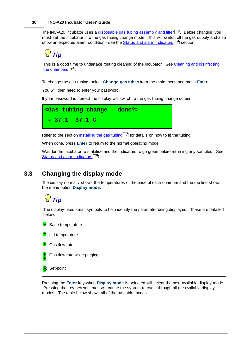The INC-A20 Incubator uses a <u>[disposable](#page-58-0) gas tubing assembly and filter</u> 55). Before changing you must set the incubator into the gas tubing change mode. This will switch off the gas supply and also show an expected alarm condition - see the <u>Status and alarm [indicators](#page-15-0)</u>I 12 section.

*Tip*

This is a good time to undertake routing cleaning of the incubator. See Cleaning and [disinfecting](#page-40-0) the [chambers](#page-40-0)| <sup>37</sup>ी.

To change the gas tubing, select **Change gas tubes** from the main menu and press **Enter**.

You will then need to enter your password.

If your password is correct the display will switch to the gas tubing change screen.

```
<Gas tubing change - done?>
37.1 37.1 C
```
Refer to the section <u>[Installing](#page-20-0) the gas tubing</u>l 17 for details on how to fit the tubing.

When done, press **Enter** to return to the normal operating mode.

Wait for the incubator to stabilise and the indicators to go green before returning any samples. See <u>Status and alarm [indicators](#page-15-0)</u> [12].

#### <span id="page-33-0"></span>**3.3 Changing the display mode**

The display normally shows the temperatures of the base of each chamber and the top line shows the menu option **Display mode**.

## *Tip*

The display uses small symbols to help identify the parameter being displayed. These are detailed below.

- **Base temperature ←** Lid temperature ▶ Gas flow rate Gas flow rate while purging
- **S** Set-point

Pressing the **Enter** key when **Display mode** is selected will select the next available display mode. Pressing the key several times will cause the system to cycle through all the available display modes. The table below shows all of the available modes.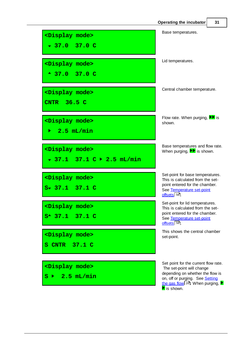|                                                                 | Operating the incubator                                                                                                                                                                                                                | 31 |
|-----------------------------------------------------------------|----------------------------------------------------------------------------------------------------------------------------------------------------------------------------------------------------------------------------------------|----|
| <display mode=""><br/><math>-37.0</math> 37.0 C</display>       | Base temperatures.                                                                                                                                                                                                                     |    |
| <display mode=""><br/><math>-37.0</math> 37.0 C</display>       | Lid temperatures.                                                                                                                                                                                                                      |    |
| <display mode=""><br/>CNTR 36.5 C</display>                     | Central chamber temperature.                                                                                                                                                                                                           |    |
| <display mode=""><br/><math>2.5</math> mL/min<br/>Þ.</display>  | Flow rate. When purging, $\blacktriangleright$ is<br>shown.                                                                                                                                                                            |    |
| <display mode=""><br/>▼ 37.1 37.1 C ▶ 2.5 mL/min</display>      | Base temperatures and flow rate.<br>When purging, $\blacktriangleright$ is shown.                                                                                                                                                      |    |
| <display mode=""><br/><math>S</math> 37.1 37.1 C</display>      | Set-point for base temperatures.<br>This is calculated from the set-<br>point entered for the chamber.<br>See Temperature set-point<br>offsets 56                                                                                      |    |
| <display mode=""><br/><math>S^*</math> 37.1 37.1 C</display>    | Set-point for lid temperatures.<br>This is calculated from the set-<br>point entered for the chamber.<br>See Temperature set-point<br>$Offsets$ $56$                                                                                   |    |
| <display mode=""><br/>S CNTR 37.1 C</display>                   | This shows the central chamber<br>set-point.                                                                                                                                                                                           |    |
| <display mode=""><br/><math>2.5</math> mL/min<br/>s ▶</display> | Set point for the current flow rate.<br>The set-point will change<br>depending on whether the flow is<br>on, off or purging. See Setting<br>the gas flow $26$ . When purging, $\blacktriangleright$<br>$\blacktriangleright$ is shown. |    |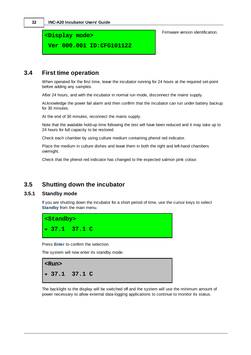**<Display mode>**

**Ver 000.001 ID:CFG101122**

Firmware version identification.

#### <span id="page-35-0"></span>**3.4 First time operation**

When operated for the first time, leave the incubator running for 24 hours at the required set-point before adding any samples.

After 24 hours, and with the incubator in normal run mode, disconnect the mains supply.

Acknowledge the power fail alarm and then confirm that the incubator can run under battery backup for 30 minutes.

At the end of 30 minutes, reconnect the mains supply.

Note that the available hold-up time following the test will have been reduced and it may take up to 24 hours for full capacity to be restored.

Check each chamber by using culture medium containing phenol red indicator.

Place the medium in culture dishes and leave them in both the right and left-hand chambers overnight.

Check that the phenol red indicator has changed to the expected salmon pink colour.

### <span id="page-35-1"></span>**3.5 Shutting down the incubator**

#### **3.5.1 Standby mode**

If you are shutting down the incubator for a short period of time, use the cursor keys to select **Standby** from the main menu.



Press **Enter** to confirm the selection.

The system will now enter its standby mode.



The backlight to the display will be switched off and the system will use the minimum amount of power necessary to allow external data-logging applications to continue to monitor its status.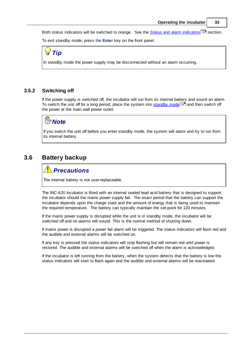Both status [indicators](#page-15-0) will be switched to orange. See the <u>Status and alarm indicators</u> <sup>12</sup> section.

To exit standby mode, press the **Enter** key on the front panel.

*Tip*

In standby mode the power supply may be disconnected without an alarm occurring.

#### <span id="page-36-0"></span>**3.5.2 Switching off**

If the power supply is switched off, the incubator will run from its internal battery and sound an alarm. To switch the unit off for a long period, place the system into <u>[standby](#page-35-0) mode</u> 32 and then switch off the power at the main wall power outlet.

## *Note*

If you switch the unit off before you enter standby mode, the system will alarm and try to run from its internal battery.

#### **3.6 Battery backup**

#### *Precautions*

The internal battery is not user-replaceable.

The INC-A20 Incubator is fitted with an internal sealed lead acid battery that is designed to support the incubator should the mains power supply fail. The exact period that the battery can support the incubator depends upon the charge state and the amount of energy that is being used to maintain the required temperature. The battery can typically maintain the set-point for 120 minutes.

If the mains power supply is disrupted while the unit is in standby mode, the incubator will be switched off and no alarms will sound. This is the normal method of shutting down.

If mains power is disrupted a power fail alarm will be triggered. The status indicators will flash red and the audible and external alarms will be switched on.

If any key is pressed the status indicators will stop flashing but will remain red until power is restored. The audible and external alarms will be switched off when the alarm is acknowledged.

If the incubator is left running from the battery, when the system detects that the battery is low the status indicators will start to flash again and the audible and external alarms will be reactivated.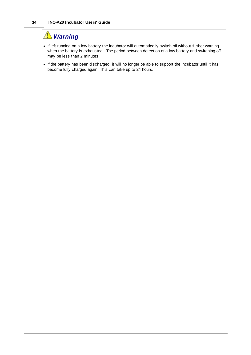## *Warning*

- · If left running on a low battery the incubator will automatically switch off without further warning when the battery is exhausted. The period between detection of a low battery and switching off may be less than 2 minutes.
- · If the battery has been discharged, it will no longer be able to support the incubator until it has become fully charged again. This can take up to 24 hours.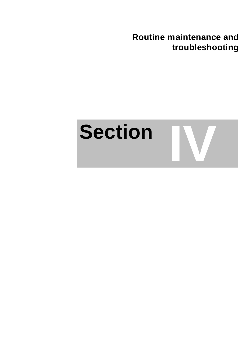**Routine maintenance and troubleshooting**

# **Section IV**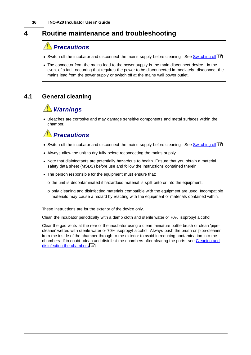## **4 Routine maintenance and troubleshooting**

## **Precautions**

- Switch off the incubator and disconnect the mains supply before cleaning. See **[Switching](#page-36-0) off** 33.
- · The connector from the mains lead to the power supply is the main disconnect device. In the event of a fault occurring that requires the power to be disconnected immediately, disconnect the mains lead from the power supply or switch off at the mains wall power outlet.

## **4.1 General cleaning**

## *Warnings*

· Bleaches are corrosive and may damage sensitive components and metal surfaces within the chamber.

## *Precautions*

- Switch off the incubator and disconnect the mains supply before cleaning. See **[Switching](#page-36-0) off**<sup>33</sup>.
- · Always allow the unit to dry fully before reconnecting the mains supply.
- · Note that disinfectants are potentially hazardous to health. Ensure that you obtain a material safety data sheet (MSDS) before use and follow the instructions contained therein.
- · The person responsible for the equipment must ensure that:
	- o the unit is decontaminated if hazardous material is spilt onto or into the equipment.
	- $\circ$  only cleaning and disinfecting materials compatible with the equipment are used. Incompatible materials may cause a hazard by reacting with the equipment or materials contained within.

These instructions are for the exterior of the device only.

Clean the incubator periodically with a damp cloth and sterile water or 70% isopropyl alcohol.

Clear the gas vents at the rear of the incubator using a clean miniature bottle brush or clean 'pipecleaner' wetted with sterile water or 70% isopropyl alcohol. Always push the brush or 'pipe-cleaner' from the inside of the chamber through to the exterior to avoid introducing contamination into the chambers. If in doubt, clean and disinfect the chambers after clearing the ports; see [Cleaning](#page-40-0) and [disinfecting](#page-40-0) the chambers। अ1े.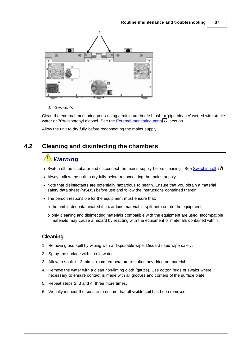

*1. Gas vents*

Clean the external monitoring ports using a miniature bottle brush or 'pipe-cleaner' wetted with sterile water\_or 70% isopropyI alcohol. See the <u>External [monitoring](#page-13-0) ports</u>I <sup>10</sup>l section.

Allow the unit to dry fully before reconnecting the mains supply.

#### <span id="page-40-0"></span>**4.2 Cleaning and disinfecting the chambers**

## *Warning*

- Switch off the incubator and disconnect the mains supply before cleaning. See **[Switching](#page-36-0) off**<sup>33</sup>.
- · Always allow the unit to dry fully before reconnecting the mains supply.
- · Note that disinfectants are potentially hazardous to health. Ensure that you obtain a material safety data sheet (MSDS) before use and follow the instructions contained therein.
- · The person responsible for the equipment must ensure that:
	- o the unit is decontaminated if hazardous material is spilt onto or into the equipment.
	- $\circ$  only cleaning and disinfecting materials compatible with the equipment are used. Incompatible materials may cause a hazard by reacting with the equipment or materials contained within.

#### **Cleaning**

- 1. Remove gross spill by wiping with a disposable wipe. Discard used wipe safely.
- 2. Spray the surface with sterile water.
- 3. Allow to soak for 2 min at room temperature to soften any dried on material.
- 4. Remove the water with a clean non-linting cloth (gauze). Use cotton buds or swabs where necessary to ensure contact is made with all grooves and corners of the surface plate.
- 5. Repeat steps 2, 3 and 4, three more times.
- 6. Visually inspect the surface to ensure that all visible soil has been removed.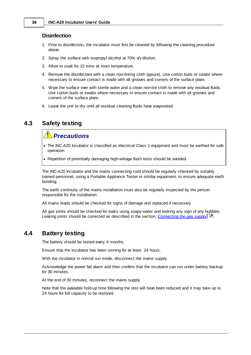#### **Disinfection**

- 1. Prior to disinfection, the incubator must first be cleaned by following the cleaning procedure above.
- 2. Spray the surface with isopropyl alcohol at 70% v/v dilution.
- 3. Allow to soak for 15 mins at room temperature.
- 4. Remove the disinfectant with a clean non-linting cloth (gauze). Use cotton buds or swabs where necessary to ensure contact is made with all grooves and corners of the surface plate.
- 5. Wipe the surface over with sterile water and a clean non-lint cloth to remove any residual fluids. Use cotton buds or swabs where necessary to ensure contact is made with all grooves and corners of the surface plate.
- 6. Leave the unit to dry until all residual cleaning fluids have evaporated.

#### **4.3 Safety testing**

## *Precautions*

- · The INC-A20 Incubator is classified as electrical Class 1 equipment and must be earthed for safe operation.
- · Repetition of potentially damaging high-voltage flash tests should be avoided.

The INC-A20 Incubator and the mains connecting cord should be regularly checked by suitably trained personnel, using a Portable Appliance Tester or similar equipment, to ensure adequate earth bonding.

The earth continuity of the mains installation must also be regularly inspected by the person responsible for the installation.

All mains leads should be checked for signs of damage and replaced if necessary.

All gas joints should be checked for leaks using soapy-water and looking any sign of any bubbles. Leaking joints should be corrected as described in the section, <u>[Connecting](#page-19-0) the gas supply</u> । क्षे

#### **4.4 Battery testing**

The battery should be tested every 4 months.

Ensure that the incubator has been running for at least 24 hours.

With the incubator in normal run mode, disconnect the mains supply.

Acknowledge the power fail alarm and then confirm that the incubator can run under battery backup for 30 minutes.

At the end of 30 minutes, reconnect the mains supply.

Note that the available hold-up time following the test will have been reduced and it may take up to 24 hours for full capacity to be restored.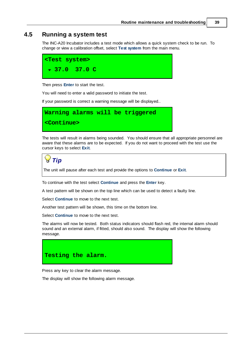#### <span id="page-42-0"></span>**4.5 Running a system test**

The INC-A20 Incubator includes a test mode which allows a quick system check to be run. To change or view a calibration offset, select **Test system** from the main menu.



Then press **Enter** to start the test.

You will need to enter a valid password to initiate the test.

If your password is correct a warning message will be displayed..



The tests will result in alarms being sounded. You should ensure that all appropriate personnel are aware that these alarms are to be expected. If you do not want to proceed with the test use the cursor keys to select **Exit**.

*Tip*

The unit will pause after each test and provide the options to **Continue** or **Exit**.

To continue with the test select **Continue** and press the **Enter** key.

A test pattern will be shown on the top line which can be used to detect a faulty line.

Select **Continue** to move to the next test.

Another test pattern will be shown, this time on the bottom line.

Select **Continue** to move to the next test.

The alarms will now be tested. Both status indicators should flash red, the internal alarm should sound and an external alarm, if fitted, should also sound. The display will show the following message.



Press any key to clear the alarm message.

The display will show the following alarm message.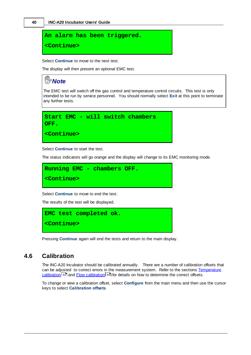```
An alarm has been triggered.
```
**<Continue>**

Select **Continue** to move to the next test.

The display will then present an optional EMC test.

## *Note*

The EMC test will switch off the gas control and temperature control circuits. This test is only intended to be run by service personnel. You should normally select **Exit** at this point to terminate any further tests.



Select **Continue** to start the test.

The status indicators will go orange and the display will change to its EMC monitoring mode.

```
Running EMC - chambers OFF.
<Continue>
```
Select **Continue** to move to end the test.

The results of the test will be displayed.



Pressing **Continue** again will end the tests and return to the main display.

#### <span id="page-43-0"></span>**4.6 Calibration**

The INC-A20 Incubator should be calibrated annually. There are a number of calibration offsets that can be adjusted to correct errors in the measurement system. Refer to the sections [Temperature](#page-44-0) [calibration](#page-47-0)<sup>| 41</sup> and Flow calibration<sup>| 44</sup> for details on how to determine the correct offsets.

To change or view a calibration offset, select **Configure** from the main menu and then use the cursor keys to select **Calibration offsets**.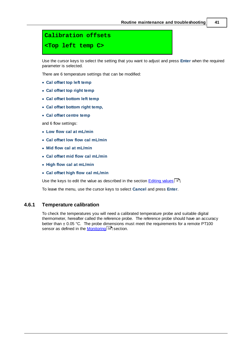## **Calibration offsets <Top left temp C>**

Use the cursor keys to select the setting that you want to adjust and press **Enter** when the required parameter is selected.

There are 6 temperature settings that can be modified:

- · **Cal offset top left temp**
- · **Cal offset top right temp**
- · **Cal offset bottom left temp**
- · **Cal offset bottom right temp,**
- · **Cal offset centre temp**

and 6 flow settings:

- · **Low flow cal at mL/min**
- · **Cal offset low flow cal mL/min**
- · **Mid flow cal at mL/min**
- · **Cal offset mid flow cal mL/min**
- · **High flow cal at mL/min**
- · **Cal offset high flow cal mL/min**

Use the keys to edit the value as described in the section <u>[Editing](#page-11-0) values</u>I 8 .

To leave the menu, use the cursor keys to select **Cancel** and press **Enter**.

#### <span id="page-44-0"></span>**4.6.1 Temperature calibration**

To check the temperatures you will need a calibrated temperature probe and suitable digital thermometer, hereafter called the reference probe. The reference probe should have an accuracy better than  $\pm$  0.05 °C. The probe dimensions must meet the requirements for a remote PT100 sensor as defined in the <u>[Monitoring](#page-61-0)</u>l 58 section.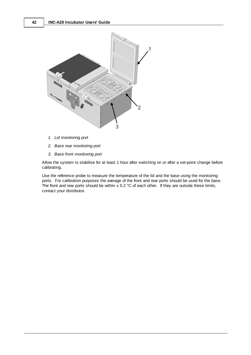

- *1. Lid monitoring port*
- *2. Base rear monitoring port*
- *3. Base front monitoring port*

Allow the system to stabilise for at least 1 hour after switching on or after a set-point change before calibrating.

Use the reference probe to measure the temperature of the lid and the base using the monitoring ports. For calibration purposes the average of the front and rear ports should be used for the base. The front and rear ports should be within  $\pm$  0.2 °C of each other. If they are outside these limits, contact your distributor.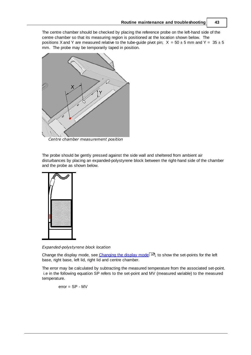The centre chamber should be checked by placing the reference probe on the left-hand side of the centre chamber so that its measuring region is positioned at the location shown below. The positions X and Y are measured relative to the tube-guide pivot pin;  $X = 50 \pm 5$  mm and Y =  $35 \pm 5$ mm. The probe may be temporarily taped in position.



*Centre chamber measurement position*

The probe should be gently pressed against the side wall and sheltered from ambient air disturbances by placing an expanded-polystyrene block between the right-hand side of the chamber and the probe as shown below.



*Expanded-polystyrene block location*

Change the display mode, see <u>[Changing](#page-33-0) the display mode</u>l <sup>ვ</sup>ী, to show the set-points for the left base, right base, left lid, right lid and centre chamber.

The error may be calculated by subtracting the measured temperature from the associated set-point. i.e in the following equation SP refers to the set-point and MV (measured variable) to the measured temperature.

error = SP - MV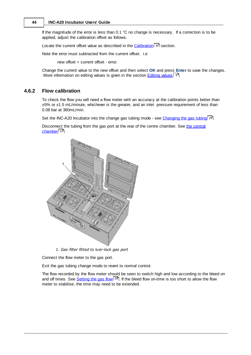If the magnitude of the error is less than 0.1 °C no change is necessary. If a correction is to be applied, adjust the calibration offset as follows.

Locate the current offset value as described in the **[Calibration](#page-43-0)** 40 section.

Note the error must subtracted from the current offset. i.e

new offset = current offset - error.

Change the current value to the new offset and then select **OK** and press **Enter** to save the changes. More information on editing values is given in the section **[Editing](#page-11-0) values** 8<sup>9</sup>.

#### <span id="page-47-0"></span>**4.6.2 Flow calibration**

To check the flow you will need a flow meter with an accuracy at the calibration points better than ±5% or ±1.5 mL/minute, whichever is the greater, and an inlet pressure requirement of less than 0.08 bar at 360mL/min.

Set the INC-A20 Incubator into the change gas tubing mode - see <u>[Changing](#page-32-0) the gas tubing</u>l 29ो.

Disconnect the tubing from the gas port at the rear of the centre chamber. See the [central](#page-13-1) <u>[chamber](#page-13-1)</u>| 10].



*1. Gas filter fitted to luer-lock gas port*

Connect the flow meter to the gas port.

Exit the gas tubing change mode to revert to normal control.

The flow recorded by the flow meter should be seen to switch high and low according to the bleed on and off times. See <u>[Setting](#page-29-0) the gas flow</u> 2ी. If the bleed flow on-time is too short to allow the flow meter to stabilise, the time may need to be extended.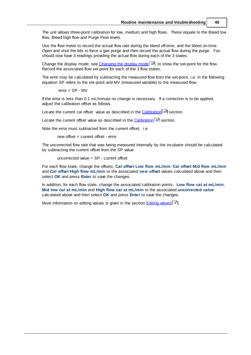The unit allows three-point calibration for low, medium and high flows. These equate to the Bleed low flow, Bleed high flow and Purge Flow levels.

Use the flow meter to record the actual flow rate during the bleed off-time, and the bleed on-time. Open and shut the lids to force a gas purge and then record the actual flow during the purge. You should now have 3 readings providing the actual flow during each of the 3 states.

Change the display mode, see [Changing](#page-33-0) the display model <sup>30</sup>, to show the set-point for the flow. Record the associated flow set-point for each of the 3 flow states.

The error may be calculated by subtracting the measured flow from the set-point, i.e. in the following equation SP refers to the set-point and MV (measured variable) to the measured flow.

error = SP - MV

If the error is less than 0.1 mL/minute no change is necessary. If a correction is to be applied, adjust the calibration offset as follows.

Locate the current cal offset value as described in the **[Calibration](#page-43-0)** 40 section.

Locate the current offset value as described in the **[Calibration](#page-43-0)** 40 section.

Note the error must subtracted from the current offset, i.e.

new offset = current offset - error.

The uncorrected flow rate that was being measured internally by the incubator should be calculated by subtracting the current offset from the SP value.

uncorrected value = SP - current offset

For each flow state, change the offsets, **Cal offset Low flow mL/min**, **Cal offset Mid flow mL/min** and **Cal offset High flow mL/min** to the associated **new offset** values calculated above and then select **OK** and press **Enter** to save the changes.

In addition, for each flow state, change the associated calibration points, **Low flow cal at mL/min**, **Mid low cal at mL/min** and **High flow cal at mL/min** to the associated **uncorrected value** calculated above and then select **OK** and press **Enter** to save the changes.

More information on editing values is given in the section [Editing](#page-11-0) values! 8°1.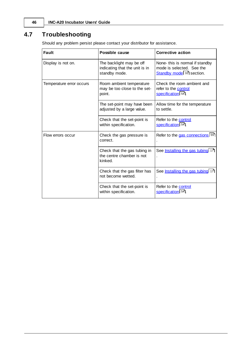## **4.7 Troubleshooting**

Should any problem persist please contact your distributor for assistance.

| Fault                    | Possible cause                                                              | <b>Corrective action</b>                                                                              |
|--------------------------|-----------------------------------------------------------------------------|-------------------------------------------------------------------------------------------------------|
| Display is not on.       | The backlight may be off<br>indicating that the unit is in<br>standby mode. | None- this is normal if standby<br>mode is selected. See the<br>Standby mode <sup>[32]</sup> section. |
| Temperature error occurs | Room ambient temperature<br>may be too close to the set-<br>point.          | Check the room ambient and<br>refer to the control<br>specification 54.                               |
|                          | The set-point may have been<br>adjusted by a large value.                   | Allow time for the temperature<br>to settle.                                                          |
|                          | Check that the set-point is<br>within specification.                        | Refer to the control<br>specification 54.                                                             |
| Flow errors occur        | Check the gas pressure is<br>correct.                                       | Refer to the gas connections 55                                                                       |
|                          | Check that the gas tubing in<br>the centre chamber is not<br>kinked.        | See Installing the gas tubing 17                                                                      |
|                          | Check that the gas filter has<br>not become wetted.                         | See <b>Installing the gas tubing</b> 17                                                               |
|                          | Check that the set-point is<br>within specification.                        | Refer to the control<br>specification 54.                                                             |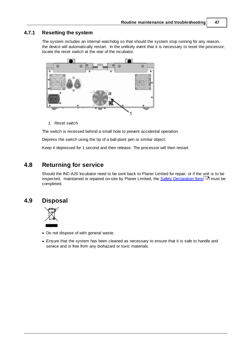#### **4.7.1 Resetting the system**

The system includes an internal watchdog so that should the system stop running for any reason, the device will automatically restart. In the unlikely event that it is necessary to reset the processor, locate the reset switch at the rear of the incubator.



*1. Reset switch*

The switch is recessed behind a small hole to prevent accidental operation.

Depress the switch using the tip of a ball-point pen or similar object.

Keep it depressed for 1 second and then release. The processor will then restart.

#### **4.8 Returning for service**

Should the INC-A20 Incubator need to be sent back to Planer Limited for repair, or if the unit is to be inspected, maintained or repaired on-site by Planer Limited, the <u>Safety [Declaration](#page-75-0) form</u>I 72 must be completed.

#### **4.9 Disposal**



- · Do not dispose of with general waste.
- · Ensure that the system has been cleaned as necessary to ensure that it is safe to handle and service and is free from any biohazard or toxic materials.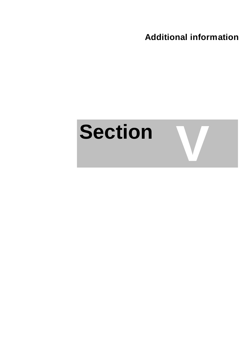**Additional information**

## **Section**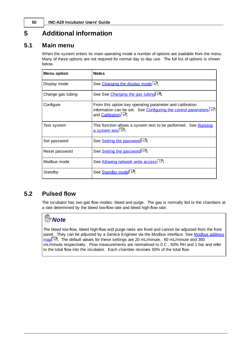## **5 Additional information**

#### **5.1 Main menu**

When the system enters its main operating mode a number of options are available from the menu. Many of these options are not required for normal day to day use. The full list of options is shown below.

| <b>Menu option</b> | <b>Notes</b>                                                                                                                                          |
|--------------------|-------------------------------------------------------------------------------------------------------------------------------------------------------|
| Display mode       | See Changing the display mode 30.                                                                                                                     |
| Change gas tubing  | See See Changing the gas tubing 29.                                                                                                                   |
| Configure          | From this option key operating parameter and calibration<br>information can be set. See Configuring the control parameters 25<br>and Calibration 40ी. |
| Test system        | This function allows a system test to be performed. See <b>Running</b><br>a system test 39.                                                           |
| Set password       | See Setting the password 23.                                                                                                                          |
| Reset password     | See Setting the password 23.                                                                                                                          |
| Modbus mode        | Allowing network write access 71.                                                                                                                     |
| Standby            | See Standby mode 32.                                                                                                                                  |

#### **5.2 Pulsed flow**

The incubator has two gas flow modes: bleed and purge. The gas is normally fed to the chambers at a rate determined by the bleed low-flow rate and bleed high-flow rate.

## *Note*

The bleed low-flow, bleed high-flow and purge rates are fixed and cannot be adjusted from the front panel. They can be adjusted by a Service Engineer via the Modbus interface. See Modbus [address](#page-62-0) [map](#page-62-0)l ss). The default values for these settings are 20 mL/minute, 60 mL/minute and 360 mL/minute respectively. Flow measurements are normalised to 0 C , 50% RH and 1 bar and refer to the total flow into the incubator. Each chamber receives 50% of the total flow.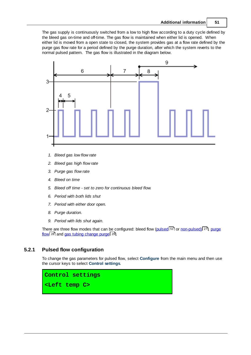The gas supply is continuously switched from a low to high flow according to a duty cycle defined by the bleed gas on-time and off-time. The gas flow is maintained when either lid is opened. When either lid is moved from a open state to closed, the system provides gas at a flow rate defined by the purge gas flow rate for a period defined by the purge duration, after which the system reverts to the normal pulsed pattern. The gas flow is illustrated in the diagram below.



- *1. Bleed gas low flow rate*
- *2. Bleed gas high flow rate*
- *3. Purge gas flow rate*
- *4. Bleed on time*
- *5. Bleed off time - set to zero for continuous bleed flow.*
- *6. Period with both lids shut*
- *7. Period with either door open.*
- *8. Purge duration.*
- *9. Period with lids shut again.*

There are three flow modes that can be configured: bleed flow (<u>[pulsed](#page-54-0)</u> 51 or <u>[non-pulsed\)](#page-30-0)</u> 27, [purge](#page-31-0) <u>[flow](#page-31-0)</u>l <sup>28</sup> and <u>gas tubing [change](#page-32-1) purge</u>l 29 .

#### <span id="page-54-0"></span>**5.2.1 Pulsed flow configuration**

To change the gas parameters for pulsed flow, select **Configure** from the main menu and then use the cursor keys to select **Control settings**.

**Control settings <Left temp C>**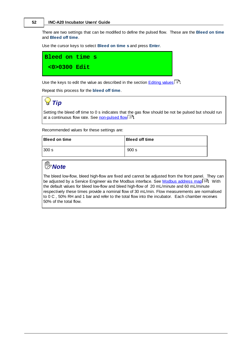There are two settings that can be modified to define the pulsed flow. These are the **Bleed on time** and **Bleed off time**.

Use the cursor keys to select **Bleed on time s** and press **Enter**.



Use the keys to edit the value as described in the section **[Editing](#page-11-0) values** 8.

Repeat this process for the **bleed off time**.

*Tip*

Setting the bleed off time to 0 s indicates that the gas flow should be not be pulsed but should run at a continuous flow rate. See <u>[non-pulsed](#page-30-0) flow</u>l <sup>27</sup>l.

Recommended values for these settings are:

| ∣Bleed on time | <b>Bleed off time</b> |
|----------------|-----------------------|
| 300 s          | 900 s                 |

## *Note*

The bleed low-flow, bleed high-flow are fixed and cannot be adjusted from the front panel. They can be adjusted by a Service Engineer via the Modbus interface. See <u>Modbus [address](#page-62-0) map</u>l গুণী. With the default values for bleed low-flow and bleed high-flow of 20 mL/minute and 60 mL/minute respectively these times provide a nominal flow of 30 mL/min. Flow measurements are normalised to 0 C , 50% RH and 1 bar and refer to the total flow into the incubator. Each chamber receives 50% of the total flow.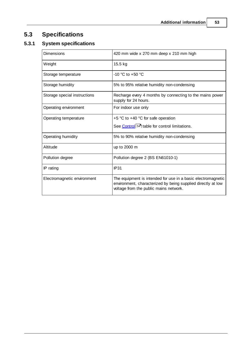## **5.3 Specifications**

## **5.3.1 System specifications**

| Dimensions                   | 420 mm wide x 270 mm deep x 210 mm high                                                                                                                                |
|------------------------------|------------------------------------------------------------------------------------------------------------------------------------------------------------------------|
| Weight                       | 15.5 kg                                                                                                                                                                |
| Storage temperature          | $-10$ °C to $+50$ °C                                                                                                                                                   |
| Storage humidity             | 5% to 95% relative humidity non-condensing                                                                                                                             |
| Storage special instructions | Recharge every 4 months by connecting to the mains power<br>supply for 24 hours.                                                                                       |
| Operating environment        | For indoor use only                                                                                                                                                    |
| Operating temperature        | +5 °C to +40 °C for safe operation                                                                                                                                     |
|                              | See Control <sup>54</sup> table for control limitations.                                                                                                               |
| Operating humidity           | 5% to 90% relative humidity non-condensing                                                                                                                             |
| Altitude                     | up to 2000 m                                                                                                                                                           |
| Pollution degree             | Pollution degree 2 (BS EN61010-1)                                                                                                                                      |
| IP rating                    | <b>IP31</b>                                                                                                                                                            |
| Electromagnetic environment  | The equipment is intended for use in a basic electromagnetic<br>environment, characterized by being supplied directly at low<br>voltage from the public mains network. |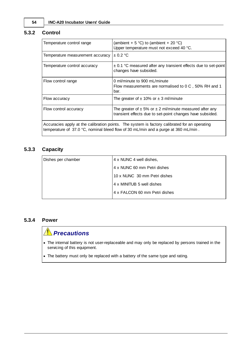#### <span id="page-57-0"></span>**5.3.2 Control**

| Temperature control range        | (ambient + 5 °C) to (ambient + 20 °C)<br>Upper temperature must not exceed 40 °C.                                                                                                   |
|----------------------------------|-------------------------------------------------------------------------------------------------------------------------------------------------------------------------------------|
| Temperature measurement accuracy | $\pm$ 0.2 °C                                                                                                                                                                        |
| Temperature control accuracy     | $\pm$ 0.1 °C measured after any transient effects due to set-point<br>changes have subsided.                                                                                        |
| Flow control range               | 0 ml/minute to 900 mL/minute<br>Flow measurements are normalised to 0 C, 50% RH and 1<br>bar.                                                                                       |
| Flow accuracy                    | The greater of $\pm$ 10% or $\pm$ 3 ml/minute                                                                                                                                       |
| Flow control accuracy            | The greater of $\pm$ 5% or $\pm$ 2 ml/minute measured after any<br>transient effects due to set-point changes have subsided.                                                        |
|                                  | Accuracies apply at the calibration points. The system is factory calibrated for an operating<br>temperature of 37.0 °C, nominal bleed flow of 30 mL/min and a purge at 360 mL/min. |

#### **5.3.3 Capacity**

| 4 x NUNC 4 well dishes,       |
|-------------------------------|
| 4 x NUNC 60 mm Petri dishes   |
| 10 x NUNC 30 mm Petri dishes  |
| 4 x MINITUB 5 well dishes     |
| 4 x FALCON 60 mm Petri dishes |
|                               |

#### **5.3.4 Power**

## *Precautions*

- · The internal battery is not user-replaceable and may only be replaced by persons trained in the servicing of this equipment.
- · The battery must only be replaced with a battery of the same type and rating.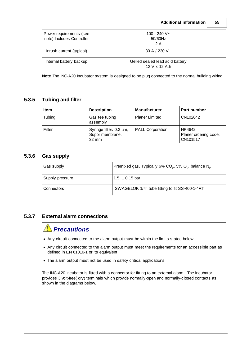|                                                      | <b>Additional information</b>                    | 55 |
|------------------------------------------------------|--------------------------------------------------|----|
| Power requirements (see<br>note) Includes Controller | $100 - 240 V -$<br>50/60Hz<br>2 A                |    |
| Inrush current (typical)                             | 80 A $/$ 230 V $\sim$                            |    |
| Internal battery backup                              | Gelled sealed lead acid battery<br>12 V x 12 A.h |    |

**Note**.The INC-A20 Incubator system is designed to be plug connected to the normal building wiring.

#### **5.3.5 Tubing and filter**

| <b>Item</b> | <b>Description</b>                                            | <b>Manufacturer</b>     | <b>Part number</b>                          |
|-------------|---------------------------------------------------------------|-------------------------|---------------------------------------------|
| Tubing      | Gas tee tubing<br>assembly                                    | <b>Planer Limited</b>   | CN102042                                    |
| Filter      | Syringe filter. 0.2 µm,<br>Supor membrane,<br>$32 \text{ mm}$ | <b>PALL Corporation</b> | HP4642<br>Planer ordering code:<br>CN101517 |

#### <span id="page-58-0"></span>**5.3.6 Gas supply**

| Gas supply      | Premixed gas. Typically 6% CO <sub>2</sub> , 5% O <sub>2</sub> , balance N <sub>2</sub> |
|-----------------|-----------------------------------------------------------------------------------------|
| Supply pressure | $1.5 \pm 0.15$ bar                                                                      |
| Connectors      | SWAGELOK 1/4" tube fitting to fit SS-400-1-4RT                                          |

#### **5.3.7 External alarm connections**

## *Precautions*

- · Any circuit connected to the alarm output must be within the limits stated below.
- · Any circuit connected to the alarm output must meet the requirements for an accessible part as defined in EN 61010-1 or its equivalent.
- · The alarm output must not be used in safety critical applications.

The INC-A20 Incubator is fitted with a connector for fitting to an external alarm. The incubator provides 3 volt-free( dry) terminals which provide normally-open and normally-closed contacts as shown in the diagrams below.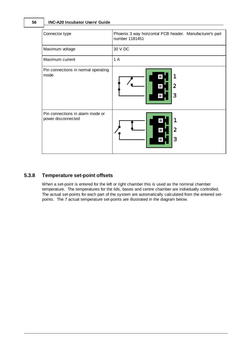| Connector type                                         | Phoenix 3 way horizontal PCB header. Manufacturer's part<br>number 1181451 |
|--------------------------------------------------------|----------------------------------------------------------------------------|
| Maximum voltage                                        | 30 V DC                                                                    |
| Maximum current                                        | 1 A                                                                        |
| Pin connections in normal operating<br>mode            | 2<br>з                                                                     |
| Pin connections in alarm mode or<br>power disconnected | 2<br>з                                                                     |

#### **5.3.8 Temperature set-point offsets**

When a set-point is entered for the left or right chamber this is used as the nominal chamber temperature. The temperatures for the lids, bases and centre chamber are individually controlled. The actual set-points for each part of the system are automatically calculated from the entered setpoints. The 7 actual temperature set-points are illustrated in the diagram below.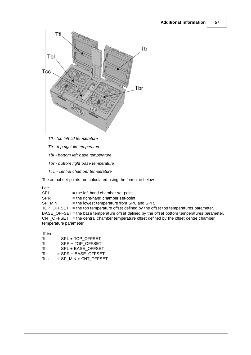

*Tbl - bottom left base temperature*

*Tbr - bottom right base temperature*

*Tcc - central chamber temperature*

The actual set-points are calculated using the formulae below.

Let:

 $SPL =$  the left-hand chamber set-point<br> $SPR =$  the right-hand chamber set-point  $SPR$  = the right-hand chamber set-point<br> $SP_MIN$  = the lowest temperature from SPL  $=$  the lowest temperature from SPL and SPR. TOP\_OFFSET = the top temperature offset defined by the offset top temperatures parameter. BASE\_OFFSET= the base temperature offset defined by the offset bottom temperatures parameter. CNT\_OFFSET = the central chamber temperature offset defined by the offset centre chamber temperature parameter.

Then

| Ttl | $=$ SPL + TOP OFFSET  |
|-----|-----------------------|
| Ttr | $=$ SPR + TOP OFFSET  |
| Tbl | $=$ SPL + BASE OFFSET |

- $Tbr = SPR + BASE_OFFSET  
\nTcc = SP MIN + CNT OFFSE$
- $=$  SP\_MIN + CNT\_OFFSET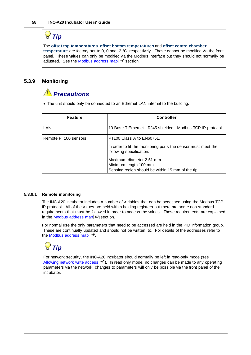## *Tip*

The **offset top temperatures**, **offset bottom temperatures** and **offset centre chamber temperature** are factory set to 0, 0 and -2 °C respectively. These cannot be modified via the front panel. These values can only be modified via the Modbus interface but they should not normally be adjusted. See the <u>[Modbus](#page-62-0) address map</u>l 5গী section.

#### <span id="page-61-0"></span>**5.3.9 Monitoring**

## *Precautions*

· The unit should only be connected to an Ethernet LAN internal to the building.

| <b>Feature</b>       | <b>Controller</b>                                                                                                                                                                                                                         |
|----------------------|-------------------------------------------------------------------------------------------------------------------------------------------------------------------------------------------------------------------------------------------|
| <b>LAN</b>           | 10 Base T Ethernet - RJ45 shielded. Modbus-TCP-IP protocol.                                                                                                                                                                               |
| Remote PT100 sensors | <b>PT100 Class A to EN60751.</b><br>In order to fit the monitoring ports the sensor must meet the<br>following specification:<br>Maximum diameter 2.51 mm.<br>Minimum length 100 mm.<br>Sensing region should be within 15 mm of the tip. |

#### **5.3.9.1 Remote monitoring**

The INC-A20 Incubator includes a number of variables that can be accessed using the Modbus TCP-IP protocol. All of the values are held within holding registers but there are some non-standard requirements that must be followed in order to access the values. These requirements are explained in the <u>Modbus [address](#page-62-0) map</u>l <sup>59</sup>ী section.

For normal use the only parameters that need to be accessed are held in the PID Information group. These are continually updated and should not be written to. For details of the addresses refer to the <u>[Modbus](#page-62-0) address map</u>l <sup>59</sup>ী.

## *Tip*

For network security, the INC-A20 Incubator should normally be left in read-only mode (see [Allowing](#page-74-0) network write access<sup>|</sup>71). In read only mode, no changes can be made to any operating parameters via the network; changes to parameters will only be possible via the front panel of the incubator.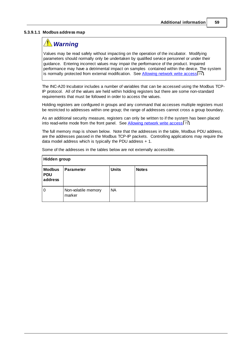#### <span id="page-62-0"></span>**5.3.9.1.1 Modbus address map**

## *Warning*

Values may be read safely without impacting on the operation of the incubator. Modifying parameters should normally only be undertaken by qualified service personnel or under their guidance. Entering incorrect values may impair the performance of the product. Impaired performance may have a detrimental impact on samples contained within the device. The system is normally protected from external modification. See [Allowing](#page-74-0) network write access 71.

The INC-A20 Incubator includes a number of variables that can be accessed using the Modbus TCP-IP protocol. All of the values are held within holding registers but there are some non-standard requirements that must be followed in order to access the values.

Holding registers are configured in groups and any command that accesses multiple registers must be restricted to addresses within one group; the range of addresses cannot cross a group boundary.

As an additional security measure, registers can only be written to if the system has been placed into read-write mode from the front panel. See <u>[Allowing](#page-74-0) network write access</u> 7n.

The full memory map is shown below. Note that the addresses in the table, Modbus PDU address, are the addresses passed in the Modbus TCP-IP packets. Controlling applications may require the data model address which is typically the PDU address + 1.

| Hidden group                           |                               |              |              |
|----------------------------------------|-------------------------------|--------------|--------------|
| <b>Modbus</b><br><b>PDU</b><br>address | <b>Parameter</b>              | <b>Units</b> | <b>Notes</b> |
| 0                                      | Non-volatile memory<br>marker | <b>NA</b>    |              |

Some of the addresses in the tables below are not externally accessible.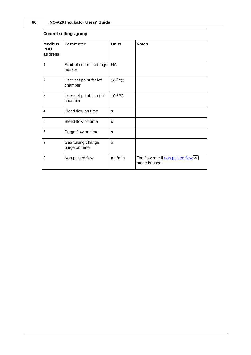| <b>Control settings group</b>          |                                     |              |                                                      |  |
|----------------------------------------|-------------------------------------|--------------|------------------------------------------------------|--|
| <b>Modbus</b><br><b>PDU</b><br>address | <b>Parameter</b>                    | <b>Units</b> | <b>Notes</b>                                         |  |
| 1                                      | Start of control settings<br>marker | <b>NA</b>    |                                                      |  |
| $\overline{2}$                         | User set-point for left<br>chamber  | $10^{-2} °C$ |                                                      |  |
| 3                                      | User set-point for right<br>chamber | $10^{-2} °C$ |                                                      |  |
| 4                                      | Bleed flow on time                  | s            |                                                      |  |
| 5                                      | Bleed flow off time                 | s            |                                                      |  |
| 6                                      | Purge flow on time                  | s            |                                                      |  |
| 7                                      | Gas tubing change<br>purge on time  | s            |                                                      |  |
| 8                                      | Non-pulsed flow                     | mL/min       | The flow rate if non-pulsed flow 27<br>mode is used. |  |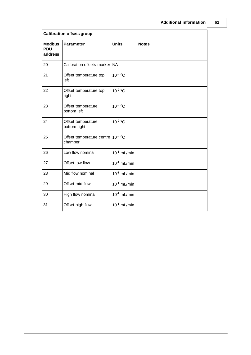| <b>Calibration offsets group</b>       |                                                          |                  |              |
|----------------------------------------|----------------------------------------------------------|------------------|--------------|
| <b>Modbus</b><br><b>PDU</b><br>address | <b>Parameter</b>                                         | <b>Units</b>     | <b>Notes</b> |
| 20                                     | Calibration offsets marker NA                            |                  |              |
| 21                                     | Offset temperature top<br>left                           | $10^{-2} °C$     |              |
| 22                                     | Offset temperature top<br>right                          | $10^{-2} °C$     |              |
| 23                                     | Offset temperature<br>bottom left                        | $10^{-2}$ °C     |              |
| 24                                     | Offset temperature<br>bottom right                       | $10^{-2} °C$     |              |
| 25                                     | Offset temperature centre 10 <sup>-2</sup> °C<br>chamber |                  |              |
| 26                                     | Low flow nominal                                         | $10^{-1}$ mL/min |              |
| 27                                     | Offset low flow                                          | $10^{-1}$ mL/min |              |
| 28                                     | Mid flow nominal                                         | $10^{-1}$ mL/min |              |
| 29                                     | Offset mid flow                                          | $10^{-1}$ mL/min |              |
| 30                                     | High flow nominal                                        | $10^{-1}$ mL/min |              |
| 31                                     | Offset high flow                                         | $10^{-1}$ mL/min |              |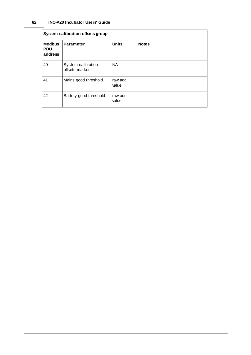| System calibration offsets group       |                                      |                  |              |
|----------------------------------------|--------------------------------------|------------------|--------------|
| <b>Modbus</b><br><b>PDU</b><br>address | <b>Parameter</b>                     | <b>Units</b>     | <b>Notes</b> |
| 40                                     | System calibration<br>offsets marker | <b>NA</b>        |              |
| 41                                     | Mains good threshold                 | raw adc<br>value |              |
| 42                                     | Battery good threshold               | raw adc<br>value |              |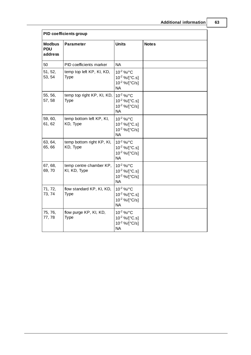| <b>PID coefficients group</b>          |                                           |                                                                                               |              |
|----------------------------------------|-------------------------------------------|-----------------------------------------------------------------------------------------------|--------------|
| <b>Modbus</b><br><b>PDU</b><br>address | <b>Parameter</b>                          | <b>Units</b>                                                                                  | <b>Notes</b> |
| 50                                     | PID coefficients marker                   | <b>NA</b>                                                                                     |              |
| 51, 52,<br>53, 54                      | temp top left KP, KI, KD,<br>Type         | 10-2 %/°C<br>$10^{-2}$ %/[ $^{\circ}$ C.s]<br>$10^{-2}$ %/[ $^{\circ}$ C/s]<br><b>NA</b>      |              |
| 55, 56,<br>57, 58                      | temp top right KP, KI, KD,<br><b>Type</b> | $10^{-2}$ %/°C<br>$10^{-2}$ %/[ $^{\circ}$ C.s]<br>$10^{-2}$ %/[ $^{\circ}$ C/s]<br><b>NA</b> |              |
| 59, 60,<br>61, 62                      | temp bottom left KP, KI,<br>KD, Type      | 10-2 %/°C<br>$10^{-2}$ %/[ $^{\circ}$ C.s]<br>$10^{-2}$ %/[ $^{\circ}$ C/s]<br><b>NA</b>      |              |
| 63, 64,<br>65, 66                      | temp bottom right KP, KI,<br>KD, Type     | $10^{-2}$ %/°C<br>$10^{-2}$ %/[ $^{\circ}$ C.s]<br>$10^{-2}$ %/[ $^{\circ}$ C/s]<br><b>NA</b> |              |
| 67, 68,<br>69,70                       | temp centre chamber KP,<br>KI, KD, Type   | $10^{-2}$ %/°C<br>$10^{-2}$ %/[ $^{\circ}$ C.s]<br>$10^{-2}$ %/[ $^{\circ}$ C/s]<br><b>NA</b> |              |
| 71, 72,<br>73, 74                      | flow standard KP, KI, KD,<br>Type         | $10^{-2}$ %/°C<br>$10^{-2}$ %/[ $^{\circ}$ C.s]<br>$10^{-2}$ %/[ $^{\circ}$ C/s]<br><b>NA</b> |              |
| 75, 76,<br>77, 78                      | flow purge KP, KI, KD,<br><b>Type</b>     | $10^{-2}$ %/°C<br>$10^{-2}$ %/[ $^{\circ}$ C.s]<br>$10^{-2}$ %/[ $^{\circ}$ C/s]<br><b>NA</b> |              |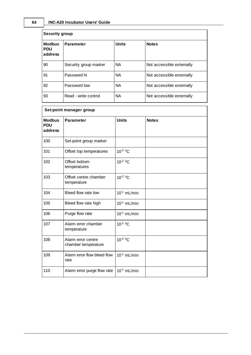| <b>Security group</b>                  |                       |              |                           |
|----------------------------------------|-----------------------|--------------|---------------------------|
| <b>Modbus</b><br><b>PDU</b><br>address | <b>Parameter</b>      | <b>Units</b> | <b>Notes</b>              |
| 90                                     | Security group marker | <b>NA</b>    | Not accessible externally |
| 91                                     | Password hi           | <b>NA</b>    | Not accessible externally |
| 92                                     | Password low          | <b>NA</b>    | Not accessible externally |
| 93                                     | Read - write control  | <b>NA</b>    | Not accessible externally |

| Set-point manager group                |                                           |                  |              |
|----------------------------------------|-------------------------------------------|------------------|--------------|
| <b>Modbus</b><br><b>PDU</b><br>address | <b>Parameter</b>                          | <b>Units</b>     | <b>Notes</b> |
| 100                                    | Set-point group marker                    |                  |              |
| 101                                    | Offset top temperatures                   | $10^{-2} °C$     |              |
| 102                                    | Offset bottom<br>temperatures             | $10^{-2}$ °C     |              |
| 103                                    | Offset centre chamber<br>temperature      | $10^{-2} °C$     |              |
| 104                                    | Bleed flow rate low                       | $10^{-1}$ mL/min |              |
| 105                                    | Bleed flow rate high                      | $10^{-1}$ mL/min |              |
| 106                                    | Purge flow rate                           | $10^{-1}$ mL/min |              |
| 107                                    | Alarm error chamber<br>temperature        | 10-2 °C          |              |
| 108                                    | Alarm error centre<br>chamber temperature | $10^{-2} °C$     |              |
| 109                                    | Alarm error flow bleed flow<br>rate       | $10^{-1}$ mL/min |              |
| 110                                    | Alarm error purge flow rate               | $10^{-1}$ mL/min |              |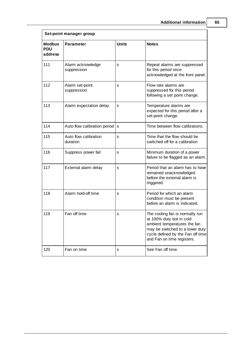| Set-point manager group                |                                   |              |                                                                                                                                                                                                   |
|----------------------------------------|-----------------------------------|--------------|---------------------------------------------------------------------------------------------------------------------------------------------------------------------------------------------------|
| <b>Modbus</b><br><b>PDU</b><br>address | <b>Parameter</b>                  | <b>Units</b> | <b>Notes</b>                                                                                                                                                                                      |
| 111                                    | Alarm acknowledge<br>suppression  | s            | Repeat alarms are suppressed<br>for this period once<br>acknowledged at the front panel.                                                                                                          |
| 112                                    | Alarm set-point<br>suppression    | S            | Flow rate alarms are<br>suppressed for this period<br>following a set point change.                                                                                                               |
| 113                                    | Alarm expectation delay           | s            | Temperature alarms are<br>expected for this period after a<br>set-point change.                                                                                                                   |
| 114                                    | Auto flow calibration period      | s            | Time between flow calibrations.                                                                                                                                                                   |
| 115                                    | Auto flow calibration<br>duration | S            | Time that the flow should be<br>switched off for a calibration                                                                                                                                    |
| 116                                    | Suppress power fail               | S            | Minimum duration of a power<br>failure to be flagged as an alarm.                                                                                                                                 |
| 117                                    | External alarm delay              | s            | Period that an alarm has to have<br>remained unacknowledged<br>before the external alarm is<br>triggered.                                                                                         |
| 118                                    | Alarm hold-off time               | S            | Period for which an alarm<br>condition must be present<br>before an alarm is indicated.                                                                                                           |
| 119                                    | Fan off time                      | S            | The cooling fan is normally run<br>at 100% duty but in cold<br>ambient temperatures the fan<br>may be switched to a lower duty<br>cycle defined by the Fan off time<br>and Fan on time registers. |
| 120                                    | Fan on time                       | s            | See Fan off time.                                                                                                                                                                                 |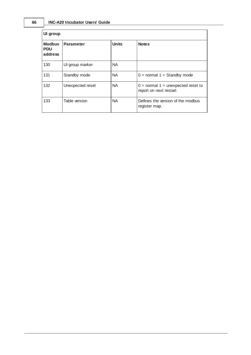| UI group                               |                  |              |                                                                  |
|----------------------------------------|------------------|--------------|------------------------------------------------------------------|
| <b>Modbus</b><br><b>PDU</b><br>address | <b>Parameter</b> | <b>Units</b> | <b>Notes</b>                                                     |
| 130                                    | UI group marker  | <b>NA</b>    |                                                                  |
| 131                                    | Standby mode     | <b>NA</b>    | $0 =$ normal $1 =$ Standby mode                                  |
| 132                                    | Unexpected reset | <b>NA</b>    | $0 =$ normal $1 =$ unexpected reset to<br>report on next restart |
| 133                                    | Table version    | <b>NA</b>    | Defines the version of the modbus<br>register map.               |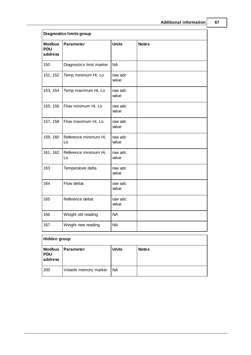| <b>Diagnostics limits group</b>        |                             |                  |              |
|----------------------------------------|-----------------------------|------------------|--------------|
| <b>Modbus</b><br><b>PDU</b><br>address | <b>Parameter</b>            | <b>Units</b>     | <b>Notes</b> |
| 150                                    | Diagnostics limit marker    | <b>NA</b>        |              |
| 151, 152                               | Temp minimum Hi, Lo         | raw adc<br>value |              |
| 153, 154                               | Temp maximum Hi, Lo         | raw adc<br>value |              |
| 155, 156                               | Flow minimum Hi, Lo         | raw adc<br>value |              |
| 157, 158                               | Flow maximum Hi, Lo         | raw adc<br>value |              |
| 159, 160                               | Reference minimum Hi,<br>Lo | raw adc<br>value |              |
| 161, 162                               | Reference minimum Hi,<br>Lo | raw adc<br>value |              |
| 163                                    | Temperature delta           | raw adc<br>value |              |
| 164                                    | Flow deltat                 | raw adc<br>value |              |
| 165                                    | Reference deltat            | raw adc<br>value |              |
| 166                                    | Weight old reading          | <b>NA</b>        |              |
| 167                                    | Weight new reading          | <b>NA</b>        |              |
| Hidden group                           |                             |                  |              |
|                                        |                             |                  |              |

| --                              |                        |              |              |  |
|---------------------------------|------------------------|--------------|--------------|--|
| <b>Modbus</b><br>PDU<br>address | <b>Parameter</b>       | <b>Units</b> | <b>Notes</b> |  |
| 200                             | Volatile memory marker | 'NA          |              |  |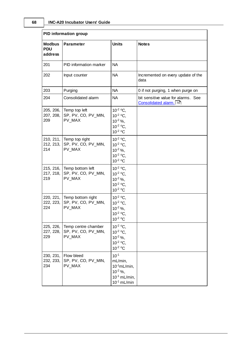|                                        | <b>PID information group</b>                         |                                                                                                    |                                                                 |  |
|----------------------------------------|------------------------------------------------------|----------------------------------------------------------------------------------------------------|-----------------------------------------------------------------|--|
| <b>Modbus</b><br><b>PDU</b><br>address | <b>Parameter</b>                                     | <b>Units</b>                                                                                       | <b>Notes</b>                                                    |  |
| 201                                    | PID information marker                               | <b>NA</b>                                                                                          |                                                                 |  |
| 202                                    | Input counter                                        | <b>NA</b>                                                                                          | Incremented on every update of the<br>data                      |  |
| 203                                    | Purging                                              | <b>NA</b>                                                                                          | 0 if not purging, 1 when purge on                               |  |
| 204                                    | Consolidated alarm                                   | <b>NA</b>                                                                                          | bit sensitive value for alarms. See<br>Consolidated alarm.   70 |  |
| 205, 206,<br>207, 208,<br>209          | Temp top left<br>SP, PV, CO, PV_MIN,<br>PV_MAX       | $10^{-2}$ °C,<br>$10^{-2}$ °C,<br>$10^{-2}$ %,<br>$10^{-2}$ °C.<br>$10^{-2}$ °C                    |                                                                 |  |
| 210, 211,<br>212, 213,<br>214          | Temp top right<br>SP, PV, CO, PV_MIN,<br>PV MAX      | $10^{-2}$ °C,<br>$10^{-2}$ °C.<br>$10^{-2}$ %,<br>$10^{-2}$ °C.<br>$10^{-2}$ °C                    |                                                                 |  |
| 215, 216,<br>217, 218,<br>219          | Temp bottom left<br>SP, PV, CO, PV_MIN,<br>PV MAX    | $10^{-2}$ °C.<br>$10^{-2}$ °C,<br>$10^{-2}$ %,<br>$10^{-2}$ °C.<br>$10^{-2}$ °C                    |                                                                 |  |
| 220, 221,<br>222, 223,<br>224          | Temp bottom right<br>SP, PV, CO, PV_MIN,<br>PV MAX   | $10^{-2}$ °C.<br>$10^{-2}$ °C.<br>$10^{-2}$ %,<br>$10^{-2}$ °C.<br>10 <sup>-2</sup> °C             |                                                                 |  |
| 225, 226,<br>227, 228,<br>229          | Temp centre chamber<br>SP, PV, CO, PV_MIN,<br>PV MAX | $10^{-2}$ °C,<br>$10^{-2}$ °C,<br>$10^{-2}$ %,<br>$10^{-2}$ °C.<br>$10^{-2}$ °C                    |                                                                 |  |
| 230, 231,<br>232, 233,<br>234          | Flow bleed<br>SP, PV, CO, PV_MIN,<br>PV MAX          | $10^{-1}$<br>mL/min,<br>$10^{-1}$ mL/min,<br>$10^{-2}$ %,<br>$10^{-1}$ mL/min,<br>$10^{-1}$ mL/min |                                                                 |  |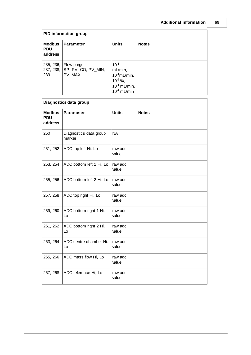| <b>PID information group</b>           |                                                                 |                                                                                                    |              |
|----------------------------------------|-----------------------------------------------------------------|----------------------------------------------------------------------------------------------------|--------------|
| <b>Modbus</b><br><b>PDU</b><br>address | <b>Parameter</b>                                                | <b>Units</b>                                                                                       | <b>Notes</b> |
| 239                                    | 235, 236, Flow purge<br>237, 238, SP, PV, CO, PV_MIN,<br>PV MAX | $10^{-1}$<br>mL/min,<br>$10^{-1}$ mL/min,<br>$10^{-2}$ %,<br>$10^{-1}$ mL/min,<br>$10^{-1}$ mL/min |              |

| Diagnostics data group                 |                                  |                  |              |
|----------------------------------------|----------------------------------|------------------|--------------|
| <b>Modbus</b><br><b>PDU</b><br>address | <b>Parameter</b>                 | <b>Units</b>     | <b>Notes</b> |
| 250                                    | Diagnostics data group<br>marker | <b>NA</b>        |              |
| 251, 252                               | ADC top left Hi. Lo              | raw adc<br>value |              |
| 253, 254                               | ADC bottom left 1 Hi. Lo         | raw adc<br>value |              |
| 255, 256                               | ADC bottom left 2 Hi. Lo         | raw adc<br>value |              |
| 257, 258                               | ADC top right Hi. Lo             | raw adc<br>value |              |
| 259, 260                               | ADC bottom right 1 Hi.<br>Lo     | raw adc<br>value |              |
| 261, 262                               | ADC bottom right 2 Hi.<br>Lo     | raw adc<br>value |              |
| 263, 264                               | ADC centre chamber Hi.<br>Lo     | raw adc<br>value |              |
| 265, 266                               | ADC mass flow Hi, Lo             | raw adc<br>value |              |
| 267, 268                               | ADC reference Hi, Lo             | raw adc<br>value |              |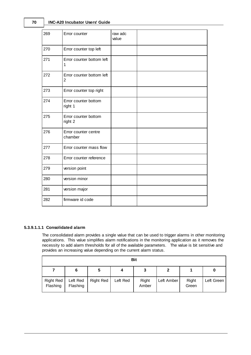#### **70 INC-A20 Incubator Users' Guide**

| 269 | Error counter                   | raw adc<br>value |  |
|-----|---------------------------------|------------------|--|
| 270 | Error counter top left          |                  |  |
| 271 | Error counter bottom left<br>1  |                  |  |
| 272 | Error counter bottom left<br>2  |                  |  |
| 273 | Error counter top right         |                  |  |
| 274 | Error counter bottom<br>right 1 |                  |  |
| 275 | Error counter bottom<br>right 2 |                  |  |
| 276 | Error counter centre<br>chamber |                  |  |
| 277 | Error counter mass flow         |                  |  |
| 278 | Error counter reference         |                  |  |
| 279 | version point                   |                  |  |
| 280 | version minor                   |                  |  |
| 281 | version major                   |                  |  |
| 282 | firmware id code                |                  |  |

#### <span id="page-73-0"></span>**5.3.9.1.1.1 Consolidated alarm**

The consolidated alarm provides a single value that can be used to trigger alarms in other monitoring applications. This value simplifies alarm notifications in the monitoring application as it removes the necessity to add alarm thresholds for all of the available parameters. The value is bit sensitive and provides an increasing value depending on the current alarm status.

| <b>Bit</b>                   |                      |                  |          |                |            |                |            |
|------------------------------|----------------------|------------------|----------|----------------|------------|----------------|------------|
|                              | 6                    | 5                |          |                |            |                | 0          |
| <b>Right Red</b><br>Flashing | Left Red<br>Flashing | <b>Right Red</b> | Left Red | Right<br>Amber | Left Amber | Right<br>Green | Left Green |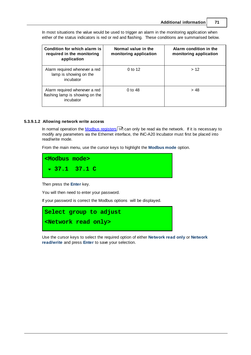**Condition for which alarm is required in the monitoring application Normal value in the monitoring application Alarm condition in the monitoring application** Alarm required whenever a red lamp is showing on the incubator 0 to 12  $\vert$  > 12 Alarm required whenever a red flashing lamp is showing on the incubator 0 to 48  $> 48$ 

In most situations the value would be used to trigger an alarm in the monitoring application when either of the status indicators is red or red and flashing. These conditions are summarised below.

#### <span id="page-74-0"></span>**5.3.9.1.2 Allowing network write access**

In normal operation the <u>Modbus [registers](#page-62-0)</u>I ब्गे can only be read via the network. If it is necessary to modify any parameters via the Ethernet interface, the INC-A20 Incubator must first be placed into read/write mode.

From the main menu, use the cursor keys to highlight the **Modbus mode** option.



Then press the **Enter** key.

You will then need to enter your password.

If your password is correct the Modbus options will be displayed.



Use the cursor keys to select the required option of either **Network read only** or **Network read/write** and press **Enter** to save your selection.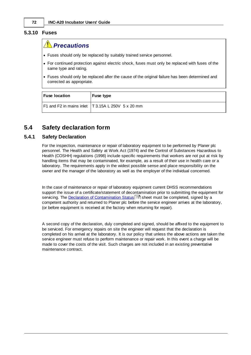#### <span id="page-75-0"></span>**5.3.10 Fuses**

#### *Precautions*

- · Fuses should only be replaced by suitably trained service personnel.
- · For continued protection against electric shock, fuses must only be replaced with fuses of the same type and rating.
- · Fuses should only be replaced after the cause of the original failure has been determined and corrected as appropriate.

| <b>Fuse location</b> | Fuse type                                          |
|----------------------|----------------------------------------------------|
|                      | F1 and F2 in mains inlet   T3.15A L 250V 5 x 20 mm |

#### **5.4 Safety declaration form**

#### <span id="page-75-1"></span>**5.4.1 Safety Declaration**

For the inspection, maintenance or repair of laboratory equipment to be performed by Planer plc personnel. The Health and Safety at Work Act (1974) and the Control of Substances Hazardous to Health (COSHH) regulations (1998) include specific requirements that workers are not put at risk by handling items that may be contaminated, for example, as a result of their use in health care or a laboratory. The requirements apply in the widest possible sense and place responsibility on the owner and the manager of the laboratory as well as the employer of the individual concerned.

In the case of maintenance or repair of laboratory equipment current DHSS recommendations support the issue of a certificate/statement of decontamination prior to submitting the equipment for servicing. The <u>Declaration of [Contamination](#page-76-0) Status</u>l <sup>দ্ৰ</sup>ী sheet must be completed, signed by a competent authority and returned to Planer plc before the service engineer arrives at the laboratory, (or before equipment is received at the factory when returning for repair).

A second copy of the declaration, duly completed and signed, should be affixed to the equipment to be serviced. For emergency repairs on site the engineer will request that the declaration is completed on his arrival at the laboratory. It is our policy that unless the above actions are taken the service engineer must refuse to perform maintenance or repair work. In this event a charge will be made to cover the costs of the visit. Such charges are not included in an existing preventative maintenance contract.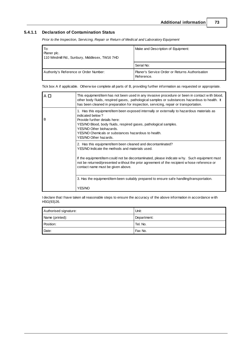#### <span id="page-76-0"></span>**5.4.1.1 Declaration of Contamination Status**

*Prior to the Inspection, Servicing, Repair or Return of Medical and Laboratory Equipment*

| To:<br>Planer plc.<br>110 Windmill Rd., Sunbury, Middlesex, TW16 7HD | Make and Description of Equipment:                            |  |
|----------------------------------------------------------------------|---------------------------------------------------------------|--|
|                                                                      | Serial No:                                                    |  |
| Authority's Reference or Order Number:                               | Planer's Service Order or Returns Authorisation<br>Reference. |  |

Tick box A if applicable. Otherw ise complete all parts of B, providing further information as requested or appropriate.

| $A$ $D$ | This equipment/item has not been used in any invasive procedure or been in contact with blood,<br>other body fluids, respired gases, pathological samples or substances hazardous to health. It<br>has been cleaned in preparation for inspection, servicing, repair or transportation.                                                          |  |
|---------|--------------------------------------------------------------------------------------------------------------------------------------------------------------------------------------------------------------------------------------------------------------------------------------------------------------------------------------------------|--|
| B       | 1. Has this equipment/item been exposed internally or externally to hazardous materials as<br>indicated below?<br>Provide further details here:<br>YES/NO Blood, body fluids, respired gases, pathological samples.<br>YES/NO Other biohazards.<br>YES/NO Chemicals or substances hazardous to health.<br>YES/NO Other hazards.                  |  |
|         | 2. Has this equipment/item been cleaned and decontaminated?<br>YES/NO Indicate the methods and materials used.<br>If the equipment/item could not be decontaminated, please indicate w hy. Such equipment must<br>not be returned/presented without the prior agreement of the recipient whose reference or<br>contact name must be given above. |  |
|         |                                                                                                                                                                                                                                                                                                                                                  |  |
|         | 3. Has the equipment/item been suitably prepared to ensure safe handling/transportation.                                                                                                                                                                                                                                                         |  |
|         | YES/NO                                                                                                                                                                                                                                                                                                                                           |  |

I declare that I have taken all reasonable steps to ensure the accuracy of the above information in accordance w ith HSG(93)26.

| Authorised signature: | Unit:       |
|-----------------------|-------------|
| Name (printed):       | Department: |
| Position:             | Tel. No.    |
| Date:                 | Fax No.     |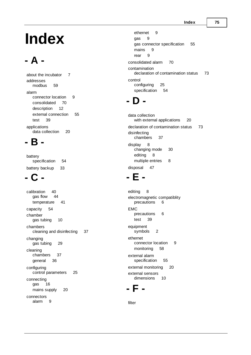# **Index**

# **- A -**

about the incubator [7](#page-10-0) addresses modbus [59](#page-62-0) alarm connector location [9](#page-12-0) consolidated [70](#page-73-0) description [12](#page-15-0) external connection [55](#page-58-0) test [39](#page-42-0) applications data collection [20](#page-23-0)

#### **- B -**

battery specification [54](#page-57-0) battery backup [33](#page-36-0)

### **- C -**

calibration [40](#page-43-0)<br>gas flow 44 gas flow [44](#page-47-0) temperature [41](#page-44-0) capacity [54](#page-57-1) chamber gas tubing [10](#page-13-0) chambers cleaning and disinfecting [37](#page-40-0) changing gas tubing [29](#page-32-0) cleaning chambers [37](#page-40-0) general [36](#page-39-0) configuring control parameters [25](#page-28-0) connecting gas [16](#page-19-0) mains supply [20](#page-23-1) connectors alarm [9](#page-12-0)

ethernet [9](#page-12-0) gas [9](#page-12-0) gas connector specification [55](#page-58-1) mains [9](#page-12-0) rear [9](#page-12-0) consolidated alarm [70](#page-73-0) contamination declaration of contamination status [73](#page-76-0) control configuring [25](#page-28-0) specification [54](#page-57-2)

# **- D -**

data collection with external applications [20](#page-23-0) declaration of contamination status [73](#page-76-0) disinfecting chambers [37](#page-40-0) display [8](#page-11-0) changing mode [30](#page-33-0) editing [8](#page-11-1) multiple entries [8](#page-11-2) disposal [47](#page-50-0)

### **- E -**

editing [8](#page-11-1) electromagnetic compatiblity precautions [6](#page-9-0) EMC precautions [6](#page-9-0) test [39](#page-42-0) equipment symbols [2](#page-5-0) ethernet connector location [9](#page-12-0) monitoring [58](#page-61-0) external alarm specification [55](#page-58-0) external monitoring [20](#page-23-0) external sensors dimensions [10](#page-13-1)

### **- F -**

filter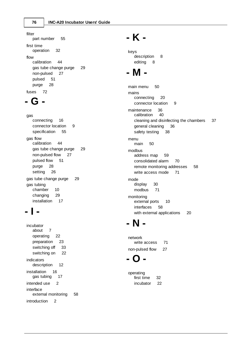filter part number [55](#page-58-2) first time operation [32](#page-35-0) flow calibration [44](#page-47-0) gas tube change purge [29](#page-32-1) non-pulsed [27](#page-30-0) pulsed [51](#page-54-0) purge [28](#page-31-0) fuses [72](#page-75-0)

### **- G -**

gas connecting [16](#page-19-0) connector location [9](#page-12-0) specification [55](#page-58-1) gas flow calibration [44](#page-47-0) gas tube change purge [29](#page-32-1) non-pulsed flow [27](#page-30-0) pulsed flow [51](#page-54-0) purge [28](#page-31-0) setting [26](#page-29-0) gas tube change purge [29](#page-32-1) gas tubing chamber [10](#page-13-0) changing [29](#page-32-0) installation [17](#page-20-0)

### **- I -**

incubator about [7](#page-10-0) operating [22](#page-25-0) preparation [23](#page-26-0) switching off [33](#page-36-1) switching on [22](#page-25-1) indicators description [12](#page-15-0) installation [16](#page-19-1) gas tubing [17](#page-20-0) intended use [2](#page-5-1) interface external monitoring [58](#page-61-0) introduction [2](#page-5-2)

### **- K -**

keys description [8](#page-11-0) editing [8](#page-11-1)

# **- M -**

main menu [50](#page-53-0) mains connecting [20](#page-23-1) connector location [9](#page-12-0) maintenance [36](#page-39-1)<br>calibration 40 calibration cleaning and disinfecting the chambers [37](#page-40-0) general cleaning [36](#page-39-0) safety testing [38](#page-41-0) menu main [50](#page-53-0) modbus address map [59](#page-62-0) consolidated alarm [70](#page-73-0) remote monitoring addresses [58](#page-61-1) write access mode [71](#page-74-0) mode display [30](#page-33-0) modbus [71](#page-74-0) monitoring external ports [10](#page-13-1) interfaces [58](#page-61-0) with external applications [20](#page-23-0)

# **- N -**

network write access [71](#page-74-0) non-pulsed flow [27](#page-30-0)

### **- O -**

operating first time [32](#page-35-0) incubator [22](#page-25-0)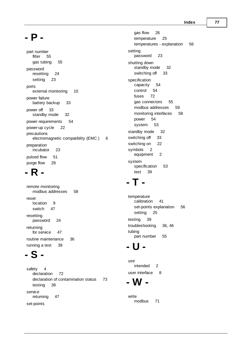[5](#page-59-0) 6

**- P -**

part number filt e r [5](#page-58-2) 5 g a s t u bin g [5](#page-58-2) 5 p a s s w o r d resetting [2](#page-27-0) 4 setting [2](#page-26-1) 3 port ts<br>external monitoring [1](#page-13-1) 0 p o w e r f ailu r e battery backup [3](#page-36-0) 3 p o w e r o ff [3](#page-36-1) 3 standby mode [3](#page-35-1) 2 power requirements [5](#page-57-0) 4 power-up cycle [2](#page-25-2) 2 precautions electromagnetic compatiblity (EMC ) [6](#page-9-0) preparation incubato r [2](#page-26-0) 3 p uls e d flo w [5](#page-54-0) 1 purge flow [2](#page-31-0) 8

#### **- R -**

remote monitoring modbus addresses [5](#page-61-1) 8 reset location [9](#page-12-0) s wit c h 4 [7](#page-50-1) resetting p a s s w o r d [2](#page-27-0) 4 returning for service [4](#page-50-2) 7 routine maintenance [3](#page-39-1) 6 running a test [3](#page-42-0) 9

# **- S -**

safety [4](#page-7-0) declaration [7](#page-75-1) 2 declaration of contamination status [7](#page-76-0) 3 testing [3](#page-41-0) 8 s e rvic e returning [4](#page-50-2) 7 set-points

gas flow [2](#page-29-0) 6 temperature [2](#page-28-1) 5 temperatures - explanation setting p a s s w o r d [2](#page-26-1) 3 shutting down standby mode [3](#page-35-1) 2 s wit c hin g o ff [3](#page-36-1) 3 specification capacity [5](#page-57-1) 4 control [5](#page-57-2)4 4 f u s e s [7](#page-75-0) 2 gas connectors [5](#page-58-1) 5 modbus addresses [5](#page-62-0) 9 monitoring interfaces [5](#page-61-0) 8 power [5](#page-57-0) 4 system [5](#page-56-0) 3 standby mode [3](#page-35-1) 2 s wit c hin g o ff [3](#page-36-1) 3 s wit c hin g o n [2](#page-25-1) 2 s y m b ols [2](#page-5-3) equipment [2](#page-5-0) system specification [5](#page-56-0) 3 t e s t [3](#page-42-0) 9

#### **- T -**

temperature calibration [4](#page-44-0) 1 set-points explanation [5](#page-59-0) 6 setting [2](#page-28-1) 5 testing [3](#page-42-0) 9 troubleshooting 3 [6,](#page-39-1) [4](#page-49-0) 6 t u bin g part number [5](#page-58-2) 5

#### **- U -**

u s e<br>intended [2](#page-5-1) user interface [8](#page-11-0)

#### **- W -**

w rit <sup>e</sup><br>modbus [7](#page-74-0) 1 **7 7**